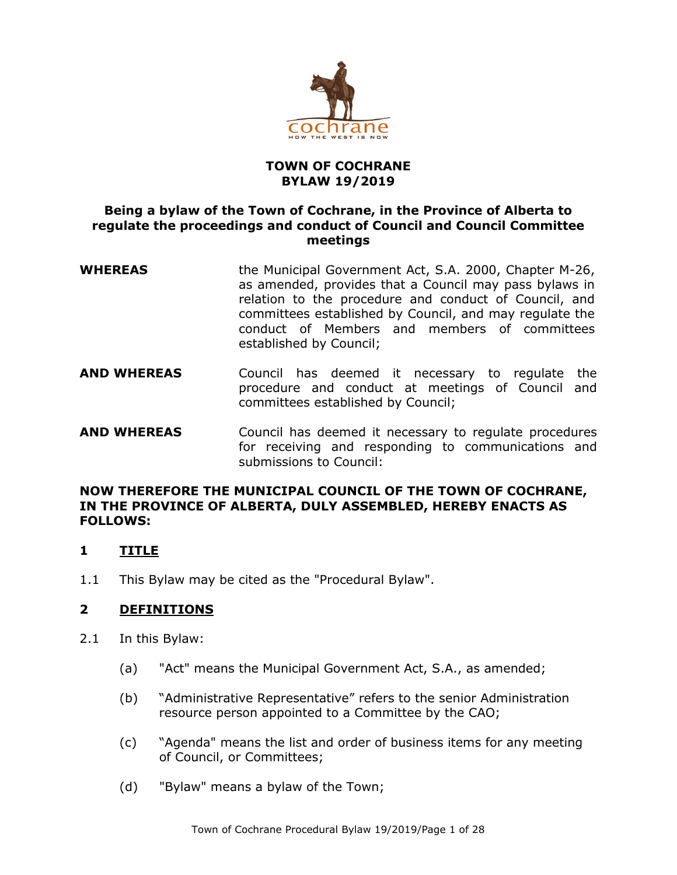

## **TOWN OF COCHRANE BYLAW 19/2019**

## **Being a bylaw of the Town of Cochrane, in the Province of Alberta to regulate the proceedings and conduct of Council and Council Committee meetings**

- **WHEREAS** the Municipal Government Act, S.A. 2000, Chapter M-26, as amended, provides that a Council may pass bylaws in relation to the procedure and conduct of Council, and committees established by Council, and may regulate the conduct of Members and members of committees established by Council;
- **AND WHEREAS** Council has deemed it necessary to regulate the procedure and conduct at meetings of Council and committees established by Council;
- **AND WHEREAS** Council has deemed it necessary to regulate procedures for receiving and responding to communications and submissions to Council:

## **NOW THEREFORE THE MUNICIPAL COUNCIL OF THE TOWN OF COCHRANE, IN THE PROVINCE OF ALBERTA, DULY ASSEMBLED, HEREBY ENACTS AS FOLLOWS:**

# **1 TITLE**

1.1 This Bylaw may be cited as the "Procedural Bylaw".

# **2 DEFINITIONS**

- 2.1 In this Bylaw:
	- (a) "Act" means the Municipal Government Act, S.A., as amended;
	- (b) "Administrative Representative" refers to the senior Administration resource person appointed to a Committee by the CAO;
	- (c) "Agenda" means the list and order of business items for any meeting of Council, or Committees;
	- (d) "Bylaw" means a bylaw of the Town;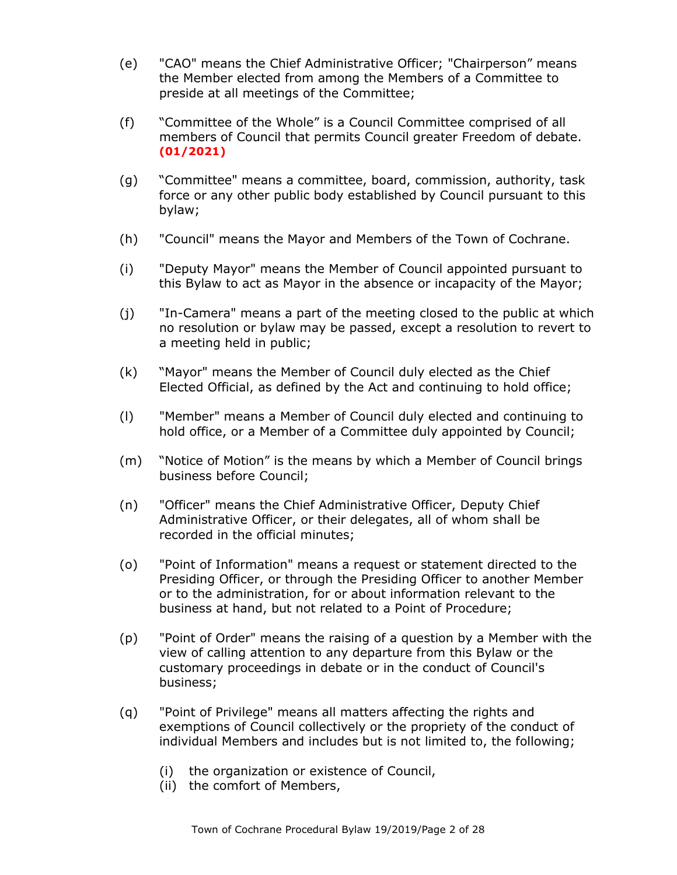- (e) "CAO" means the Chief Administrative Officer; "Chairperson" means the Member elected from among the Members of a Committee to preside at all meetings of the Committee;
- (f) "Committee of the Whole" is a Council Committee comprised of all members of Council that permits Council greater Freedom of debate. **(01/2021)**
- (g) "Committee" means a committee, board, commission, authority, task force or any other public body established by Council pursuant to this bylaw;
- (h) "Council" means the Mayor and Members of the Town of Cochrane.
- (i) "Deputy Mayor" means the Member of Council appointed pursuant to this Bylaw to act as Mayor in the absence or incapacity of the Mayor;
- (j) "In-Camera" means a part of the meeting closed to the public at which no resolution or bylaw may be passed, except a resolution to revert to a meeting held in public;
- (k) "Mayor" means the Member of Council duly elected as the Chief Elected Official, as defined by the Act and continuing to hold office;
- (l) "Member" means a Member of Council duly elected and continuing to hold office, or a Member of a Committee duly appointed by Council;
- (m) "Notice of Motion" is the means by which a Member of Council brings business before Council;
- (n) "Officer" means the Chief Administrative Officer, Deputy Chief Administrative Officer, or their delegates, all of whom shall be recorded in the official minutes;
- (o) "Point of Information" means a request or statement directed to the Presiding Officer, or through the Presiding Officer to another Member or to the administration, for or about information relevant to the business at hand, but not related to a Point of Procedure;
- (p) "Point of Order" means the raising of a question by a Member with the view of calling attention to any departure from this Bylaw or the customary proceedings in debate or in the conduct of Council's business;
- (q) "Point of Privilege" means all matters affecting the rights and exemptions of Council collectively or the propriety of the conduct of individual Members and includes but is not limited to, the following;
	- (i) the organization or existence of Council,
	- (ii) the comfort of Members,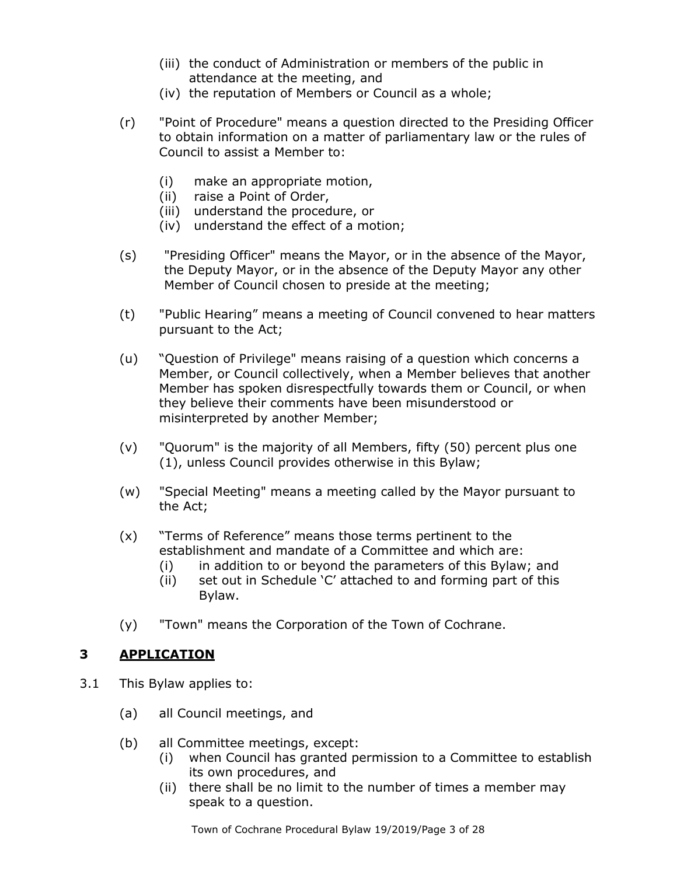- (iii) the conduct of Administration or members of the public in attendance at the meeting, and
- (iv) the reputation of Members or Council as a whole;
- (r) "Point of Procedure" means a question directed to the Presiding Officer to obtain information on a matter of parliamentary law or the rules of Council to assist a Member to:
	- (i) make an appropriate motion,
	- (ii) raise a Point of Order,
	- (iii) understand the procedure, or
	- (iv) understand the effect of a motion;
- (s) "Presiding Officer" means the Mayor, or in the absence of the Mayor, the Deputy Mayor, or in the absence of the Deputy Mayor any other Member of Council chosen to preside at the meeting;
- (t) "Public Hearing" means a meeting of Council convened to hear matters pursuant to the Act;
- (u) "Question of Privilege" means raising of a question which concerns a Member, or Council collectively, when a Member believes that another Member has spoken disrespectfully towards them or Council, or when they believe their comments have been misunderstood or misinterpreted by another Member;
- (v) "Quorum" is the majority of all Members, fifty (50) percent plus one (1), unless Council provides otherwise in this Bylaw;
- (w) "Special Meeting" means a meeting called by the Mayor pursuant to the Act;
- (x) "Terms of Reference" means those terms pertinent to the establishment and mandate of a Committee and which are:
	- (i) in addition to or beyond the parameters of this Bylaw; and
	- (ii) set out in Schedule 'C' attached to and forming part of this Bylaw.
- (y) "Town" means the Corporation of the Town of Cochrane.

# **3 APPLICATION**

- 3.1 This Bylaw applies to:
	- (a) all Council meetings, and
	- (b) all Committee meetings, except:
		- (i) when Council has granted permission to a Committee to establish its own procedures, and
		- (ii) there shall be no limit to the number of times a member may speak to a question.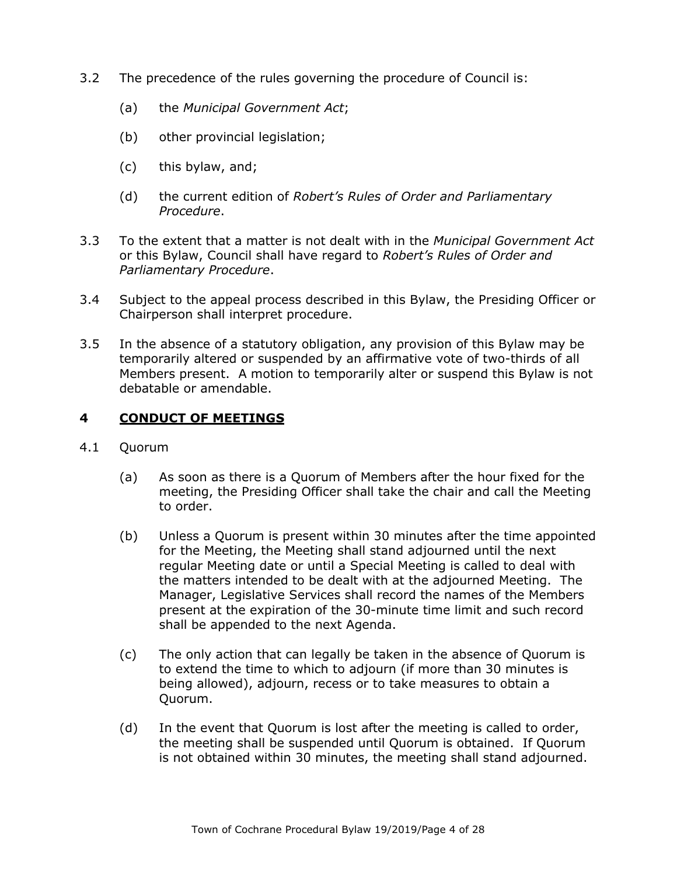- 3.2 The precedence of the rules governing the procedure of Council is:
	- (a) the *Municipal Government Act*;
	- (b) other provincial legislation;
	- (c) this bylaw, and;
	- (d) the current edition of *Robert's Rules of Order and Parliamentary Procedure*.
- 3.3 To the extent that a matter is not dealt with in the *Municipal Government Act* or this Bylaw, Council shall have regard to *Robert's Rules of Order and Parliamentary Procedure*.
- 3.4 Subject to the appeal process described in this Bylaw, the Presiding Officer or Chairperson shall interpret procedure.
- 3.5 In the absence of a statutory obligation, any provision of this Bylaw may be temporarily altered or suspended by an affirmative vote of two-thirds of all Members present. A motion to temporarily alter or suspend this Bylaw is not debatable or amendable.

## **4 CONDUCT OF MEETINGS**

- 4.1 Quorum
	- (a) As soon as there is a Quorum of Members after the hour fixed for the meeting, the Presiding Officer shall take the chair and call the Meeting to order.
	- (b) Unless a Quorum is present within 30 minutes after the time appointed for the Meeting, the Meeting shall stand adjourned until the next regular Meeting date or until a Special Meeting is called to deal with the matters intended to be dealt with at the adjourned Meeting. The Manager, Legislative Services shall record the names of the Members present at the expiration of the 30-minute time limit and such record shall be appended to the next Agenda.
	- (c) The only action that can legally be taken in the absence of Quorum is to extend the time to which to adjourn (if more than 30 minutes is being allowed), adjourn, recess or to take measures to obtain a Quorum.
	- (d) In the event that Quorum is lost after the meeting is called to order, the meeting shall be suspended until Quorum is obtained. If Quorum is not obtained within 30 minutes, the meeting shall stand adjourned.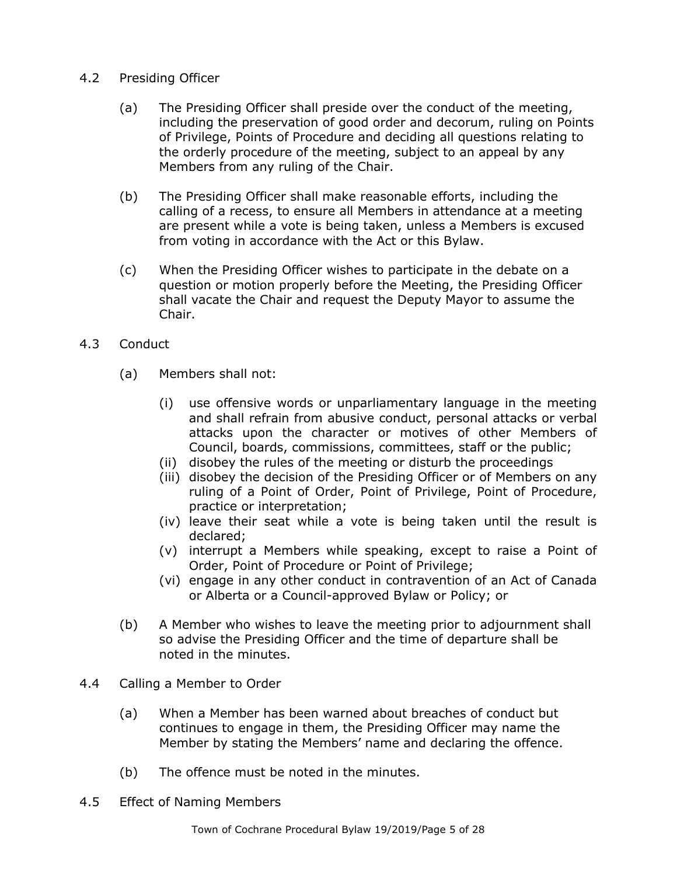- 4.2 Presiding Officer
	- (a) The Presiding Officer shall preside over the conduct of the meeting, including the preservation of good order and decorum, ruling on Points of Privilege, Points of Procedure and deciding all questions relating to the orderly procedure of the meeting, subject to an appeal by any Members from any ruling of the Chair.
	- (b) The Presiding Officer shall make reasonable efforts, including the calling of a recess, to ensure all Members in attendance at a meeting are present while a vote is being taken, unless a Members is excused from voting in accordance with the Act or this Bylaw.
	- (c) When the Presiding Officer wishes to participate in the debate on a question or motion properly before the Meeting, the Presiding Officer shall vacate the Chair and request the Deputy Mayor to assume the Chair.
- 4.3 Conduct
	- (a) Members shall not:
		- (i) use offensive words or unparliamentary language in the meeting and shall refrain from abusive conduct, personal attacks or verbal attacks upon the character or motives of other Members of Council, boards, commissions, committees, staff or the public;
		- (ii) disobey the rules of the meeting or disturb the proceedings
		- (iii) disobey the decision of the Presiding Officer or of Members on any ruling of a Point of Order, Point of Privilege, Point of Procedure, practice or interpretation;
		- (iv) leave their seat while a vote is being taken until the result is declared;
		- (v) interrupt a Members while speaking, except to raise a Point of Order, Point of Procedure or Point of Privilege;
		- (vi) engage in any other conduct in contravention of an Act of Canada or Alberta or a Council-approved Bylaw or Policy; or
	- (b) A Member who wishes to leave the meeting prior to adjournment shall so advise the Presiding Officer and the time of departure shall be noted in the minutes.
- 4.4 Calling a Member to Order
	- (a) When a Member has been warned about breaches of conduct but continues to engage in them, the Presiding Officer may name the Member by stating the Members' name and declaring the offence.
	- (b) The offence must be noted in the minutes.
- 4.5 Effect of Naming Members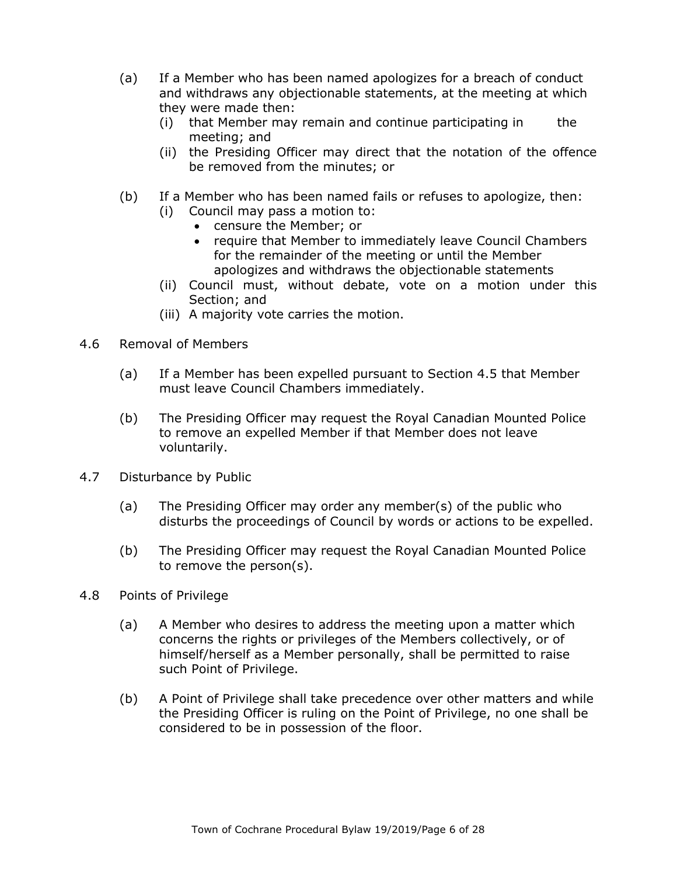- (a) If a Member who has been named apologizes for a breach of conduct and withdraws any objectionable statements, at the meeting at which they were made then:
	- $(i)$  that Member may remain and continue participating in the meeting; and
	- (ii) the Presiding Officer may direct that the notation of the offence be removed from the minutes; or
- (b) If a Member who has been named fails or refuses to apologize, then:
	- (i) Council may pass a motion to:
		- censure the Member; or
		- require that Member to immediately leave Council Chambers for the remainder of the meeting or until the Member apologizes and withdraws the objectionable statements
	- (ii) Council must, without debate, vote on a motion under this Section; and
	- (iii) A majority vote carries the motion.
- 4.6 Removal of Members
	- (a) If a Member has been expelled pursuant to Section 4.5 that Member must leave Council Chambers immediately.
	- (b) The Presiding Officer may request the Royal Canadian Mounted Police to remove an expelled Member if that Member does not leave voluntarily.
- 4.7 Disturbance by Public
	- (a) The Presiding Officer may order any member(s) of the public who disturbs the proceedings of Council by words or actions to be expelled.
	- (b) The Presiding Officer may request the Royal Canadian Mounted Police to remove the person(s).
- 4.8 Points of Privilege
	- (a) A Member who desires to address the meeting upon a matter which concerns the rights or privileges of the Members collectively, or of himself/herself as a Member personally, shall be permitted to raise such Point of Privilege.
	- (b) A Point of Privilege shall take precedence over other matters and while the Presiding Officer is ruling on the Point of Privilege, no one shall be considered to be in possession of the floor.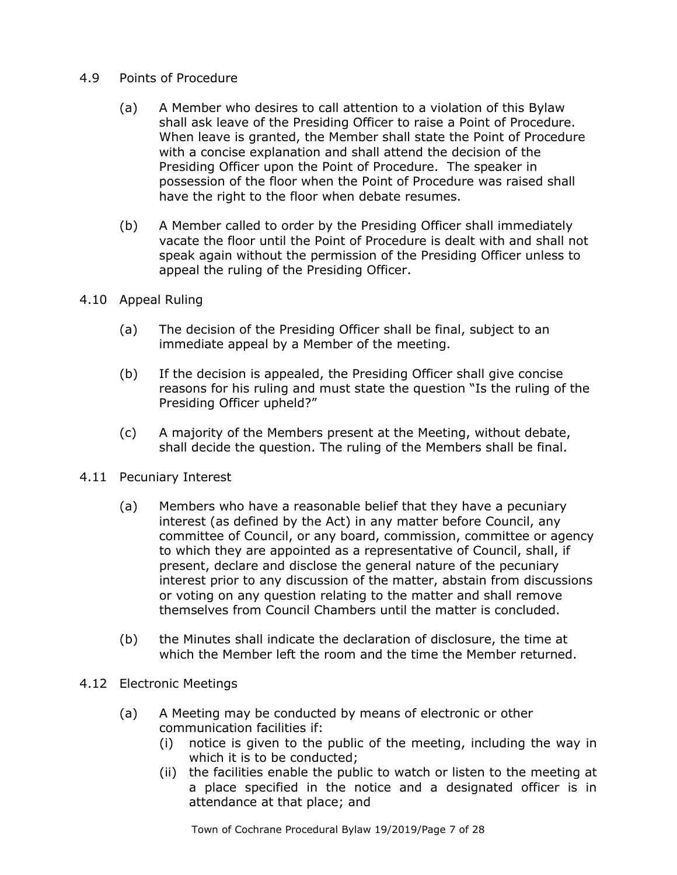### 4.9 Points of Procedure

- (a) A Member who desires to call attention to a violation of this Bylaw shall ask leave of the Presiding Officer to raise a Point of Procedure. When leave is granted, the Member shall state the Point of Procedure with a concise explanation and shall attend the decision of the Presiding Officer upon the Point of Procedure. The speaker in possession of the floor when the Point of Procedure was raised shall have the right to the floor when debate resumes.
- (b) A Member called to order by the Presiding Officer shall immediately vacate the floor until the Point of Procedure is dealt with and shall not speak again without the permission of the Presiding Officer unless to appeal the ruling of the Presiding Officer.
- 4.10 Appeal Ruling
	- (a) The decision of the Presiding Officer shall be final, subject to an immediate appeal by a Member of the meeting.
	- (b) If the decision is appealed, the Presiding Officer shall give concise reasons for his ruling and must state the question "Is the ruling of the Presiding Officer upheld?"
	- (c) A majority of the Members present at the Meeting, without debate, shall decide the question. The ruling of the Members shall be final.
- 4.11 Pecuniary Interest
	- (a) Members who have a reasonable belief that they have a pecuniary interest (as defined by the Act) in any matter before Council, any committee of Council, or any board, commission, committee or agency to which they are appointed as a representative of Council, shall, if present, declare and disclose the general nature of the pecuniary interest prior to any discussion of the matter, abstain from discussions or voting on any question relating to the matter and shall remove themselves from Council Chambers until the matter is concluded.
	- (b) the Minutes shall indicate the declaration of disclosure, the time at which the Member left the room and the time the Member returned.
- 4.12 Electronic Meetings
	- (a) A Meeting may be conducted by means of electronic or other communication facilities if:
		- (i) notice is given to the public of the meeting, including the way in which it is to be conducted;
		- (ii) the facilities enable the public to watch or listen to the meeting at a place specified in the notice and a designated officer is in attendance at that place; and

Town of Cochrane Procedural Bylaw 19/2019/Page 7 of 28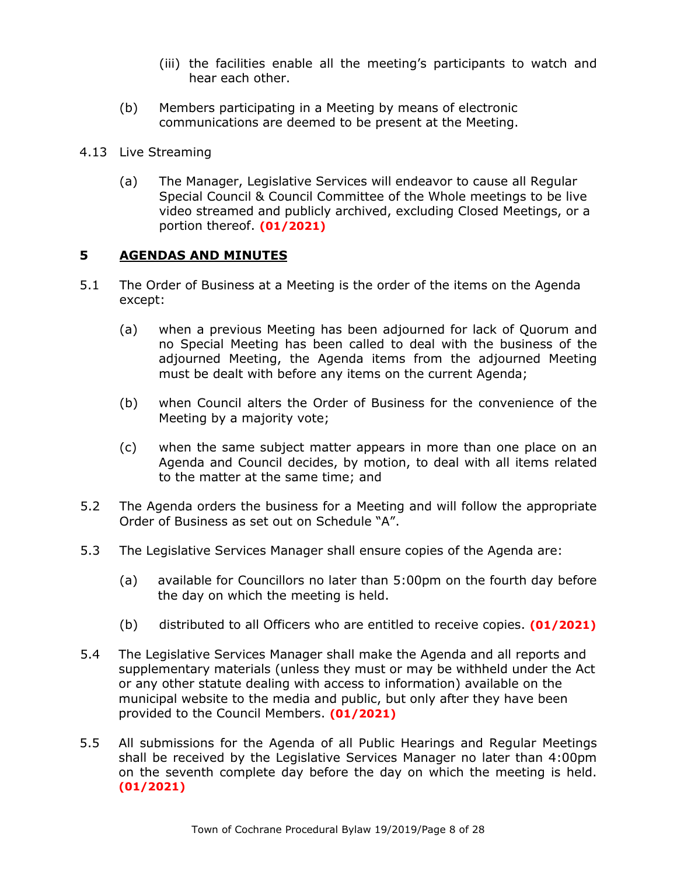- (iii) the facilities enable all the meeting's participants to watch and hear each other.
- (b) Members participating in a Meeting by means of electronic communications are deemed to be present at the Meeting.
- 4.13 Live Streaming
	- (a) The Manager, Legislative Services will endeavor to cause all Regular Special Council & Council Committee of the Whole meetings to be live video streamed and publicly archived, excluding Closed Meetings, or a portion thereof. **(01/2021)**

## **5 AGENDAS AND MINUTES**

- 5.1 The Order of Business at a Meeting is the order of the items on the Agenda except:
	- (a) when a previous Meeting has been adjourned for lack of Quorum and no Special Meeting has been called to deal with the business of the adjourned Meeting, the Agenda items from the adjourned Meeting must be dealt with before any items on the current Agenda;
	- (b) when Council alters the Order of Business for the convenience of the Meeting by a majority vote;
	- (c) when the same subject matter appears in more than one place on an Agenda and Council decides, by motion, to deal with all items related to the matter at the same time; and
- 5.2 The Agenda orders the business for a Meeting and will follow the appropriate Order of Business as set out on Schedule "A".
- 5.3 The Legislative Services Manager shall ensure copies of the Agenda are:
	- (a) available for Councillors no later than 5:00pm on the fourth day before the day on which the meeting is held.
	- (b) distributed to all Officers who are entitled to receive copies. **(01/2021)**
- 5.4 The Legislative Services Manager shall make the Agenda and all reports and supplementary materials (unless they must or may be withheld under the Act or any other statute dealing with access to information) available on the municipal website to the media and public, but only after they have been provided to the Council Members. **(01/2021)**
- 5.5 All submissions for the Agenda of all Public Hearings and Regular Meetings shall be received by the Legislative Services Manager no later than 4:00pm on the seventh complete day before the day on which the meeting is held. **(01/2021)**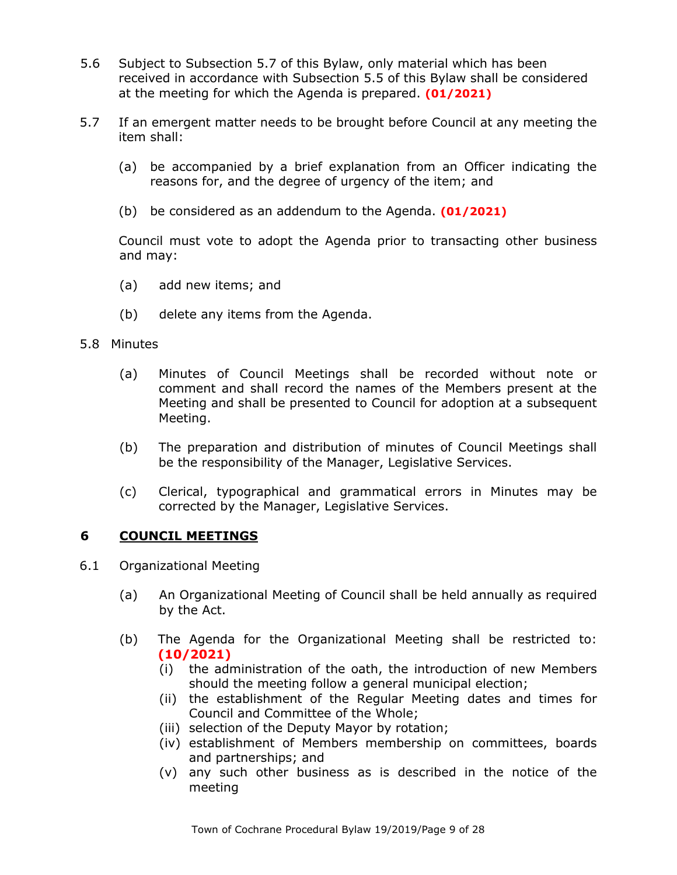- 5.6 Subject to Subsection 5.7 of this Bylaw, only material which has been received in accordance with Subsection 5.5 of this Bylaw shall be considered at the meeting for which the Agenda is prepared. **(01/2021)**
- 5.7 If an emergent matter needs to be brought before Council at any meeting the item shall:
	- (a) be accompanied by a brief explanation from an Officer indicating the reasons for, and the degree of urgency of the item; and
	- (b) be considered as an addendum to the Agenda. **(01/2021)**

Council must vote to adopt the Agenda prior to transacting other business and may:

- (a) add new items; and
- (b) delete any items from the Agenda.
- 5.8 Minutes
	- (a) Minutes of Council Meetings shall be recorded without note or comment and shall record the names of the Members present at the Meeting and shall be presented to Council for adoption at a subsequent Meeting.
	- (b) The preparation and distribution of minutes of Council Meetings shall be the responsibility of the Manager, Legislative Services.
	- (c) Clerical, typographical and grammatical errors in Minutes may be corrected by the Manager, Legislative Services.

# **6 COUNCIL MEETINGS**

- 6.1 Organizational Meeting
	- (a) An Organizational Meeting of Council shall be held annually as required by the Act.
	- (b) The Agenda for the Organizational Meeting shall be restricted to: **(10/2021)**
		- (i) the administration of the oath, the introduction of new Members should the meeting follow a general municipal election;
		- (ii) the establishment of the Regular Meeting dates and times for Council and Committee of the Whole;
		- (iii) selection of the Deputy Mayor by rotation;
		- (iv) establishment of Members membership on committees, boards and partnerships; and
		- (v) any such other business as is described in the notice of the meeting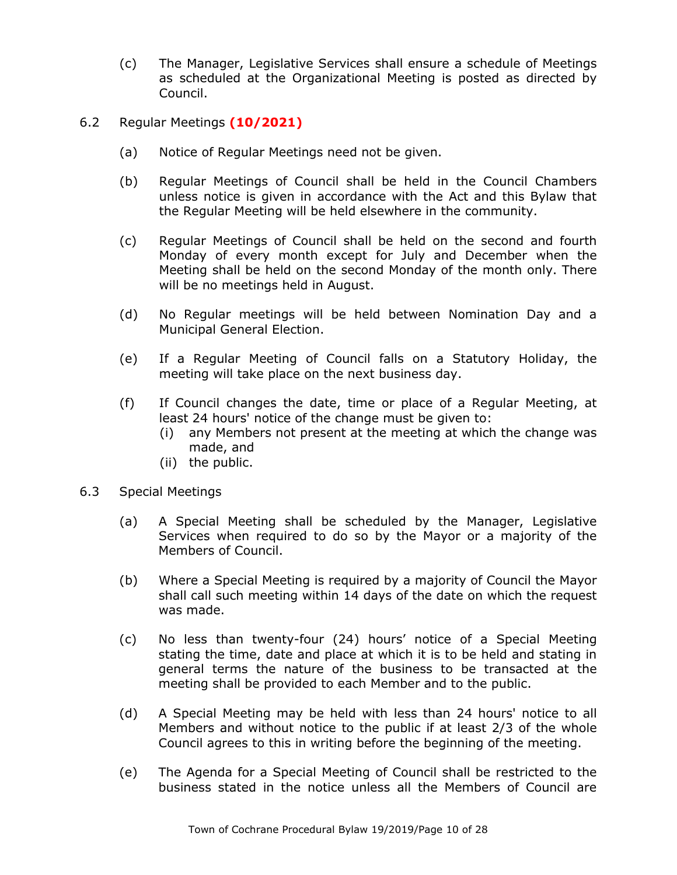- (c) The Manager, Legislative Services shall ensure a schedule of Meetings as scheduled at the Organizational Meeting is posted as directed by Council.
- 6.2 Regular Meetings **(10/2021)**
	- (a) Notice of Regular Meetings need not be given.
	- (b) Regular Meetings of Council shall be held in the Council Chambers unless notice is given in accordance with the Act and this Bylaw that the Regular Meeting will be held elsewhere in the community.
	- (c) Regular Meetings of Council shall be held on the second and fourth Monday of every month except for July and December when the Meeting shall be held on the second Monday of the month only. There will be no meetings held in August.
	- (d) No Regular meetings will be held between Nomination Day and a Municipal General Election.
	- (e) If a Regular Meeting of Council falls on a Statutory Holiday, the meeting will take place on the next business day.
	- (f) If Council changes the date, time or place of a Regular Meeting, at least 24 hours' notice of the change must be given to:
		- (i) any Members not present at the meeting at which the change was made, and
		- (ii) the public.
- 6.3 Special Meetings
	- (a) A Special Meeting shall be scheduled by the Manager, Legislative Services when required to do so by the Mayor or a majority of the Members of Council.
	- (b) Where a Special Meeting is required by a majority of Council the Mayor shall call such meeting within 14 days of the date on which the request was made.
	- (c) No less than twenty-four (24) hours' notice of a Special Meeting stating the time, date and place at which it is to be held and stating in general terms the nature of the business to be transacted at the meeting shall be provided to each Member and to the public.
	- (d) A Special Meeting may be held with less than 24 hours' notice to all Members and without notice to the public if at least 2/3 of the whole Council agrees to this in writing before the beginning of the meeting.
	- (e) The Agenda for a Special Meeting of Council shall be restricted to the business stated in the notice unless all the Members of Council are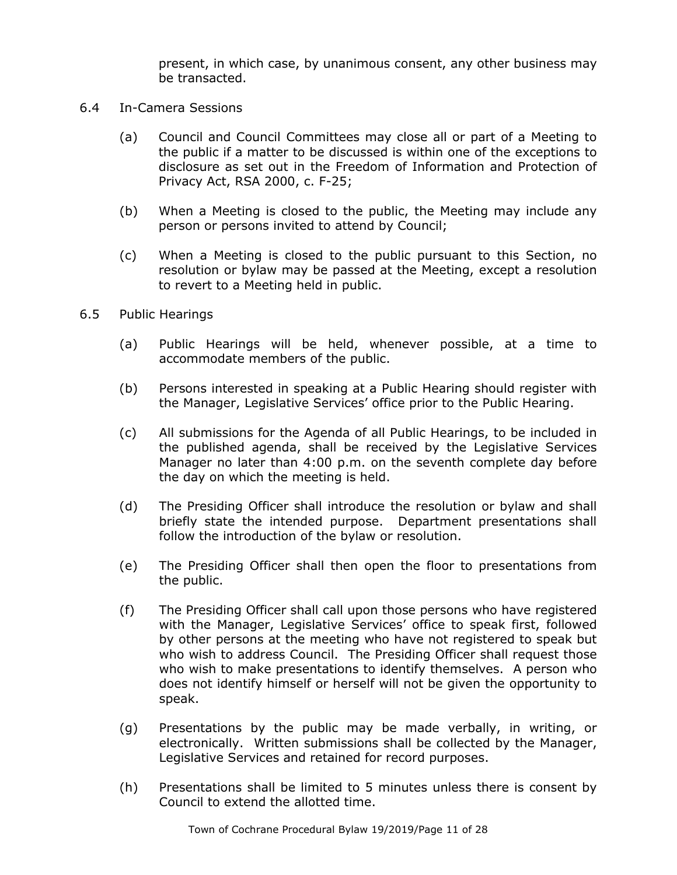present, in which case, by unanimous consent, any other business may be transacted.

- 6.4 In-Camera Sessions
	- (a) Council and Council Committees may close all or part of a Meeting to the public if a matter to be discussed is within one of the exceptions to disclosure as set out in the Freedom of Information and Protection of Privacy Act, RSA 2000, c. F-25;
	- (b) When a Meeting is closed to the public, the Meeting may include any person or persons invited to attend by Council;
	- (c) When a Meeting is closed to the public pursuant to this Section, no resolution or bylaw may be passed at the Meeting, except a resolution to revert to a Meeting held in public.
- 6.5 Public Hearings
	- (a) Public Hearings will be held, whenever possible, at a time to accommodate members of the public.
	- (b) Persons interested in speaking at a Public Hearing should register with the Manager, Legislative Services' office prior to the Public Hearing.
	- (c) All submissions for the Agenda of all Public Hearings, to be included in the published agenda, shall be received by the Legislative Services Manager no later than 4:00 p.m. on the seventh complete day before the day on which the meeting is held.
	- (d) The Presiding Officer shall introduce the resolution or bylaw and shall briefly state the intended purpose. Department presentations shall follow the introduction of the bylaw or resolution.
	- (e) The Presiding Officer shall then open the floor to presentations from the public.
	- (f) The Presiding Officer shall call upon those persons who have registered with the Manager, Legislative Services' office to speak first, followed by other persons at the meeting who have not registered to speak but who wish to address Council. The Presiding Officer shall request those who wish to make presentations to identify themselves. A person who does not identify himself or herself will not be given the opportunity to speak.
	- (g) Presentations by the public may be made verbally, in writing, or electronically. Written submissions shall be collected by the Manager, Legislative Services and retained for record purposes.
	- (h) Presentations shall be limited to 5 minutes unless there is consent by Council to extend the allotted time.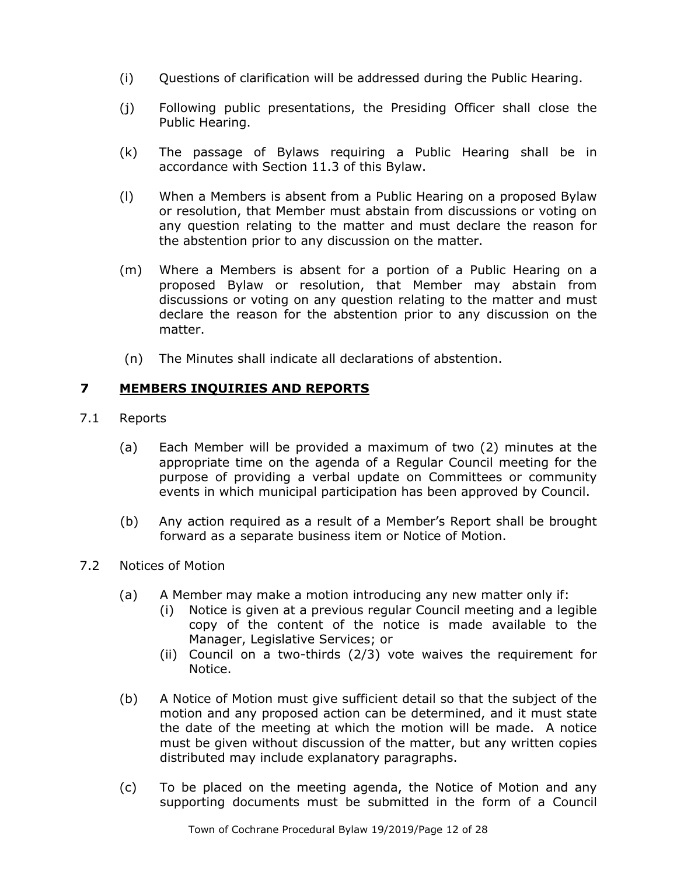- (i) Questions of clarification will be addressed during the Public Hearing.
- (j) Following public presentations, the Presiding Officer shall close the Public Hearing.
- (k) The passage of Bylaws requiring a Public Hearing shall be in accordance with Section 11.3 of this Bylaw.
- (l) When a Members is absent from a Public Hearing on a proposed Bylaw or resolution, that Member must abstain from discussions or voting on any question relating to the matter and must declare the reason for the abstention prior to any discussion on the matter.
- (m) Where a Members is absent for a portion of a Public Hearing on a proposed Bylaw or resolution, that Member may abstain from discussions or voting on any question relating to the matter and must declare the reason for the abstention prior to any discussion on the matter.
- (n) The Minutes shall indicate all declarations of abstention.

# **7 MEMBERS INQUIRIES AND REPORTS**

- 7.1 Reports
	- (a) Each Member will be provided a maximum of two (2) minutes at the appropriate time on the agenda of a Regular Council meeting for the purpose of providing a verbal update on Committees or community events in which municipal participation has been approved by Council.
	- (b) Any action required as a result of a Member's Report shall be brought forward as a separate business item or Notice of Motion.
- 7.2 Notices of Motion
	- (a) A Member may make a motion introducing any new matter only if:
		- (i) Notice is given at a previous regular Council meeting and a legible copy of the content of the notice is made available to the Manager, Legislative Services; or
		- (ii) Council on a two-thirds (2/3) vote waives the requirement for Notice.
	- (b) A Notice of Motion must give sufficient detail so that the subject of the motion and any proposed action can be determined, and it must state the date of the meeting at which the motion will be made. A notice must be given without discussion of the matter, but any written copies distributed may include explanatory paragraphs.
	- (c) To be placed on the meeting agenda, the Notice of Motion and any supporting documents must be submitted in the form of a Council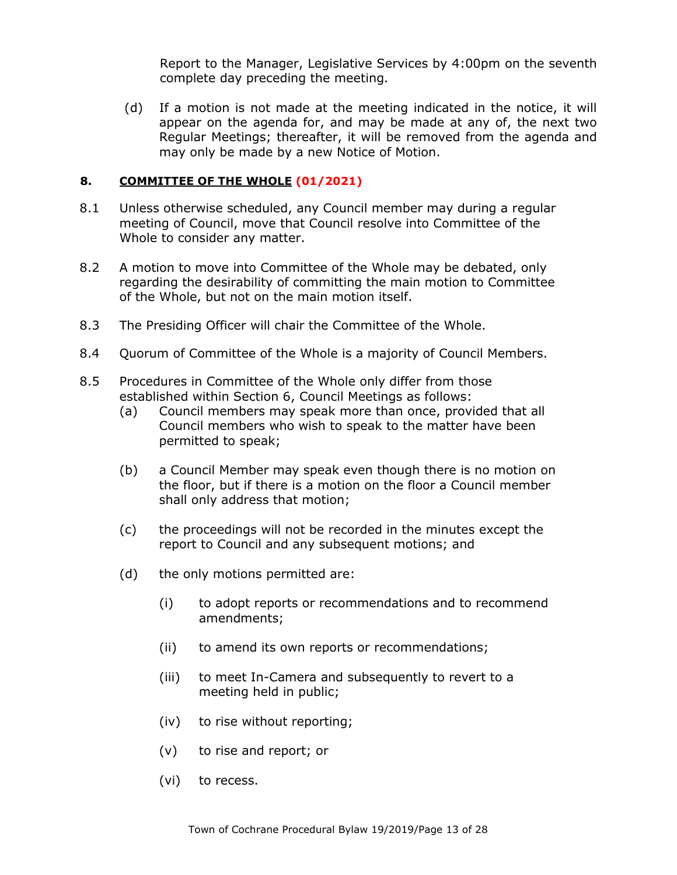Report to the Manager, Legislative Services by 4:00pm on the seventh complete day preceding the meeting.

(d) If a motion is not made at the meeting indicated in the notice, it will appear on the agenda for, and may be made at any of, the next two Regular Meetings; thereafter, it will be removed from the agenda and may only be made by a new Notice of Motion.

### **8. COMMITTEE OF THE WHOLE (01/2021)**

- 8.1 Unless otherwise scheduled, any Council member may during a regular meeting of Council, move that Council resolve into Committee of the Whole to consider any matter.
- 8.2 A motion to move into Committee of the Whole may be debated, only regarding the desirability of committing the main motion to Committee of the Whole, but not on the main motion itself.
- 8.3 The Presiding Officer will chair the Committee of the Whole.
- 8.4 Quorum of Committee of the Whole is a majority of Council Members.
- 8.5 Procedures in Committee of the Whole only differ from those established within Section 6, Council Meetings as follows:
	- (a) Council members may speak more than once, provided that all Council members who wish to speak to the matter have been permitted to speak;
	- (b) a Council Member may speak even though there is no motion on the floor, but if there is a motion on the floor a Council member shall only address that motion;
	- (c) the proceedings will not be recorded in the minutes except the report to Council and any subsequent motions; and
	- (d) the only motions permitted are:
		- (i) to adopt reports or recommendations and to recommend amendments;
		- (ii) to amend its own reports or recommendations;
		- (iii) to meet In-Camera and subsequently to revert to a meeting held in public;
		- (iv) to rise without reporting;
		- (v) to rise and report; or
		- (vi) to recess.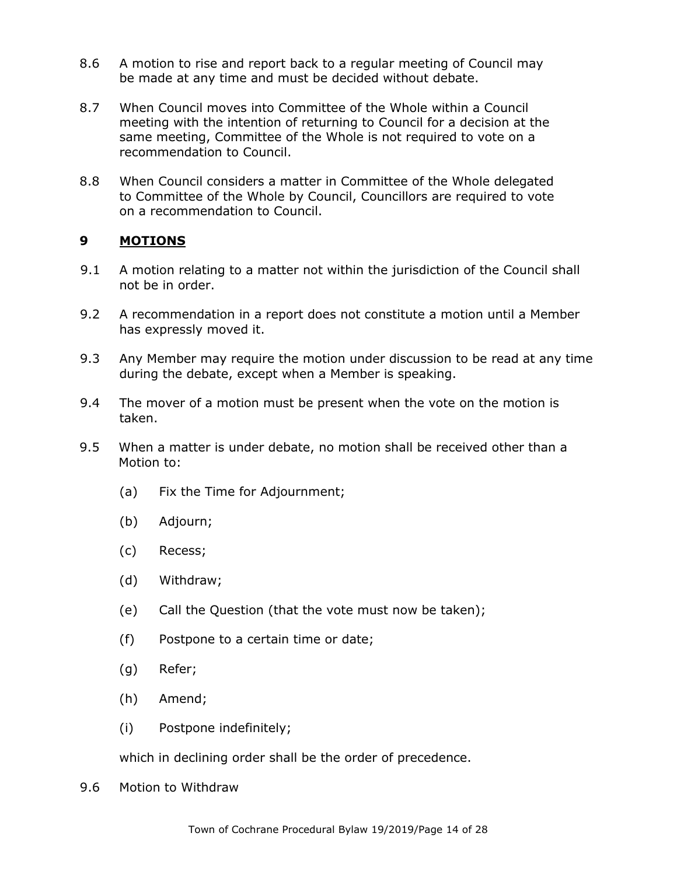- 8.6 A motion to rise and report back to a regular meeting of Council may be made at any time and must be decided without debate.
- 8.7 When Council moves into Committee of the Whole within a Council meeting with the intention of returning to Council for a decision at the same meeting, Committee of the Whole is not required to vote on a recommendation to Council.
- 8.8 When Council considers a matter in Committee of the Whole delegated to Committee of the Whole by Council, Councillors are required to vote on a recommendation to Council.

# **9 MOTIONS**

- 9.1 A motion relating to a matter not within the jurisdiction of the Council shall not be in order.
- 9.2 A recommendation in a report does not constitute a motion until a Member has expressly moved it.
- 9.3 Any Member may require the motion under discussion to be read at any time during the debate, except when a Member is speaking.
- 9.4 The mover of a motion must be present when the vote on the motion is taken.
- 9.5 When a matter is under debate, no motion shall be received other than a Motion to:
	- (a) Fix the Time for Adjournment;
	- (b) Adjourn;
	- (c) Recess;
	- (d) Withdraw;
	- (e) Call the Question (that the vote must now be taken);
	- (f) Postpone to a certain time or date;
	- (g) Refer;
	- (h) Amend;
	- (i) Postpone indefinitely;

which in declining order shall be the order of precedence.

9.6 Motion to Withdraw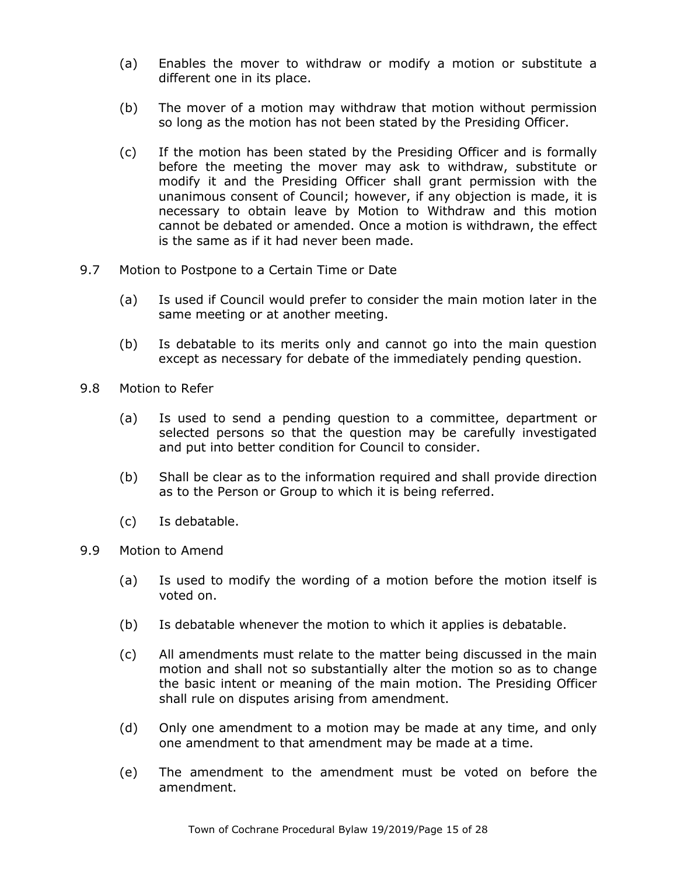- (a) Enables the mover to withdraw or modify a motion or substitute a different one in its place.
- (b) The mover of a motion may withdraw that motion without permission so long as the motion has not been stated by the Presiding Officer.
- (c) If the motion has been stated by the Presiding Officer and is formally before the meeting the mover may ask to withdraw, substitute or modify it and the Presiding Officer shall grant permission with the unanimous consent of Council; however, if any objection is made, it is necessary to obtain leave by Motion to Withdraw and this motion cannot be debated or amended. Once a motion is withdrawn, the effect is the same as if it had never been made.
- 9.7 Motion to Postpone to a Certain Time or Date
	- (a) Is used if Council would prefer to consider the main motion later in the same meeting or at another meeting.
	- (b) Is debatable to its merits only and cannot go into the main question except as necessary for debate of the immediately pending question.
- 9.8 Motion to Refer
	- (a) Is used to send a pending question to a committee, department or selected persons so that the question may be carefully investigated and put into better condition for Council to consider.
	- (b) Shall be clear as to the information required and shall provide direction as to the Person or Group to which it is being referred.
	- (c) Is debatable.
- 9.9 Motion to Amend
	- (a) Is used to modify the wording of a motion before the motion itself is voted on.
	- (b) Is debatable whenever the motion to which it applies is debatable.
	- (c) All amendments must relate to the matter being discussed in the main motion and shall not so substantially alter the motion so as to change the basic intent or meaning of the main motion. The Presiding Officer shall rule on disputes arising from amendment.
	- (d) Only one amendment to a motion may be made at any time, and only one amendment to that amendment may be made at a time.
	- (e) The amendment to the amendment must be voted on before the amendment.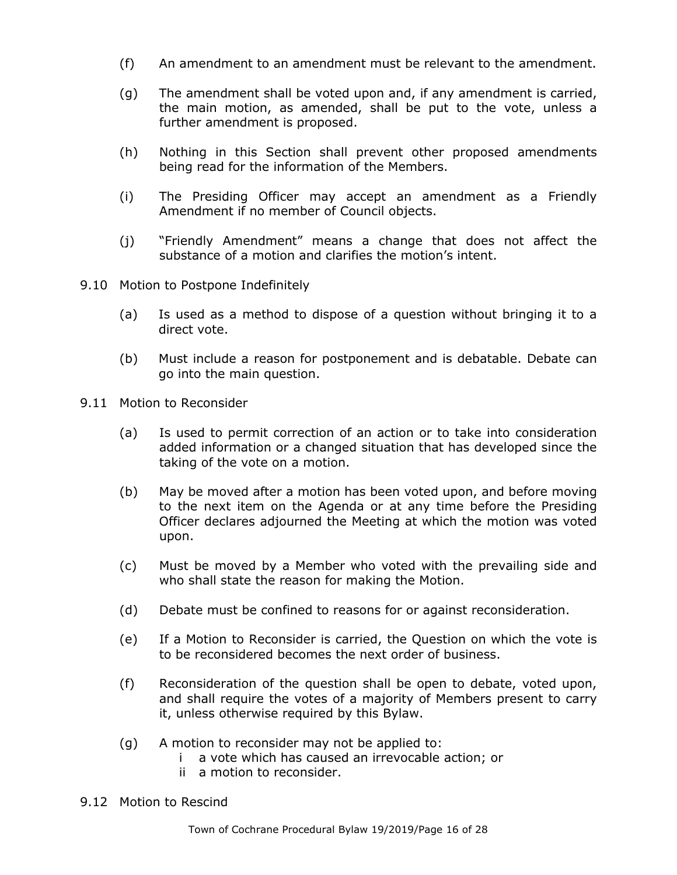- (f) An amendment to an amendment must be relevant to the amendment.
- (g) The amendment shall be voted upon and, if any amendment is carried, the main motion, as amended, shall be put to the vote, unless a further amendment is proposed.
- (h) Nothing in this Section shall prevent other proposed amendments being read for the information of the Members.
- (i) The Presiding Officer may accept an amendment as a Friendly Amendment if no member of Council objects.
- (j) "Friendly Amendment" means a change that does not affect the substance of a motion and clarifies the motion's intent.
- 9.10 Motion to Postpone Indefinitely
	- (a) Is used as a method to dispose of a question without bringing it to a direct vote.
	- (b) Must include a reason for postponement and is debatable. Debate can go into the main question.
- 9.11 Motion to Reconsider
	- (a) Is used to permit correction of an action or to take into consideration added information or a changed situation that has developed since the taking of the vote on a motion.
	- (b) May be moved after a motion has been voted upon, and before moving to the next item on the Agenda or at any time before the Presiding Officer declares adjourned the Meeting at which the motion was voted upon.
	- (c) Must be moved by a Member who voted with the prevailing side and who shall state the reason for making the Motion.
	- (d) Debate must be confined to reasons for or against reconsideration.
	- (e) If a Motion to Reconsider is carried, the Question on which the vote is to be reconsidered becomes the next order of business.
	- (f) Reconsideration of the question shall be open to debate, voted upon, and shall require the votes of a majority of Members present to carry it, unless otherwise required by this Bylaw.
	- (g) A motion to reconsider may not be applied to:
		- i a vote which has caused an irrevocable action; or
		- ii a motion to reconsider.
- 9.12 Motion to Rescind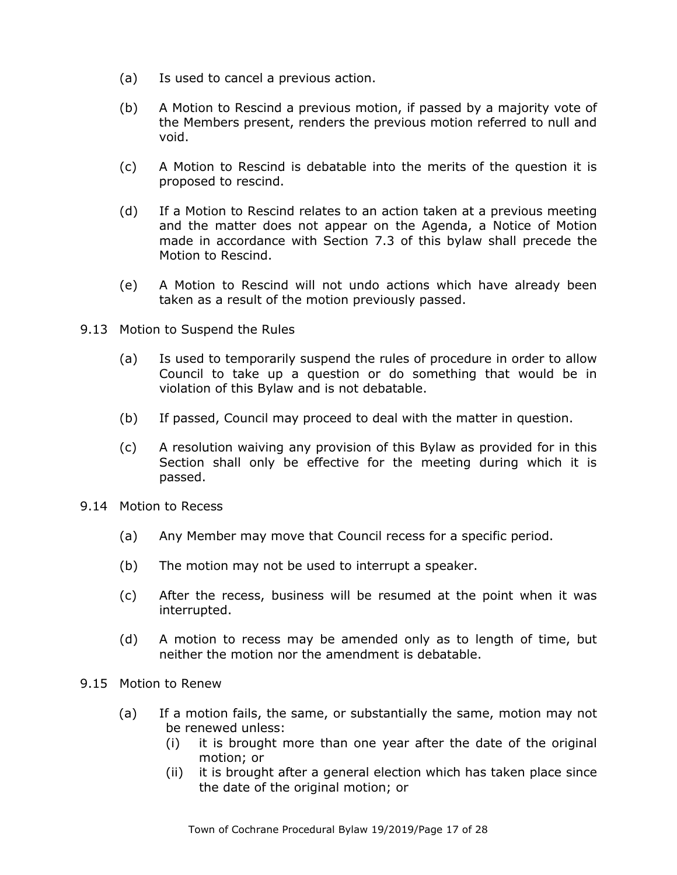- (a) Is used to cancel a previous action.
- (b) A Motion to Rescind a previous motion, if passed by a majority vote of the Members present, renders the previous motion referred to null and void.
- (c) A Motion to Rescind is debatable into the merits of the question it is proposed to rescind.
- (d) If a Motion to Rescind relates to an action taken at a previous meeting and the matter does not appear on the Agenda, a Notice of Motion made in accordance with Section 7.3 of this bylaw shall precede the Motion to Rescind.
- (e) A Motion to Rescind will not undo actions which have already been taken as a result of the motion previously passed.
- 9.13 Motion to Suspend the Rules
	- (a) Is used to temporarily suspend the rules of procedure in order to allow Council to take up a question or do something that would be in violation of this Bylaw and is not debatable.
	- (b) If passed, Council may proceed to deal with the matter in question.
	- (c) A resolution waiving any provision of this Bylaw as provided for in this Section shall only be effective for the meeting during which it is passed.
- 9.14 Motion to Recess
	- (a) Any Member may move that Council recess for a specific period.
	- (b) The motion may not be used to interrupt a speaker.
	- (c) After the recess, business will be resumed at the point when it was interrupted.
	- (d) A motion to recess may be amended only as to length of time, but neither the motion nor the amendment is debatable.
- 9.15 Motion to Renew
	- (a) If a motion fails, the same, or substantially the same, motion may not be renewed unless:
		- (i) it is brought more than one year after the date of the original motion; or
		- (ii) it is brought after a general election which has taken place since the date of the original motion; or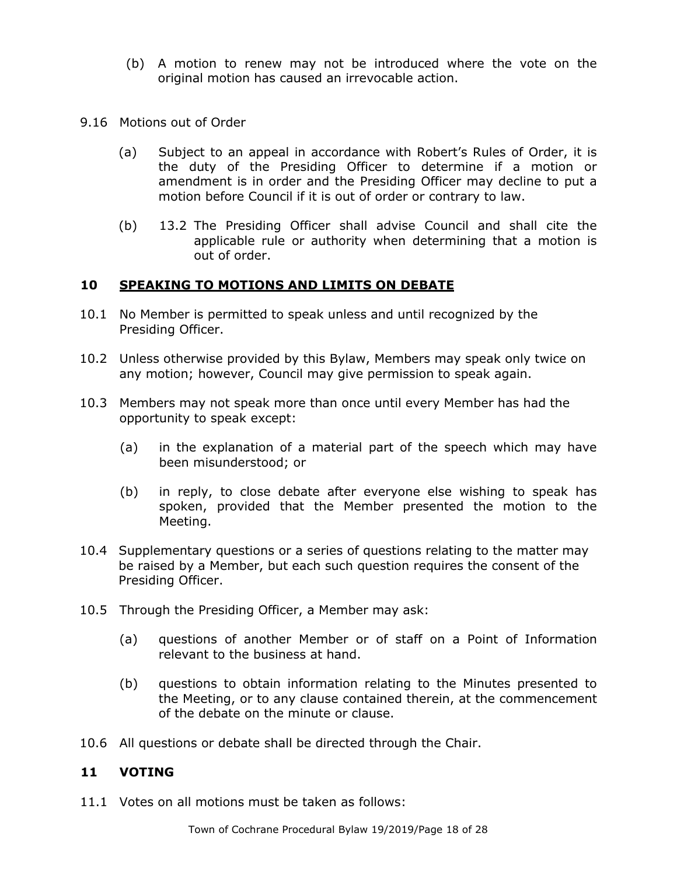- (b) A motion to renew may not be introduced where the vote on the original motion has caused an irrevocable action.
- 9.16 Motions out of Order
	- (a) Subject to an appeal in accordance with Robert's Rules of Order, it is the duty of the Presiding Officer to determine if a motion or amendment is in order and the Presiding Officer may decline to put a motion before Council if it is out of order or contrary to law.
	- (b) 13.2 The Presiding Officer shall advise Council and shall cite the applicable rule or authority when determining that a motion is out of order.

## **10 SPEAKING TO MOTIONS AND LIMITS ON DEBATE**

- 10.1 No Member is permitted to speak unless and until recognized by the Presiding Officer.
- 10.2 Unless otherwise provided by this Bylaw, Members may speak only twice on any motion; however, Council may give permission to speak again.
- 10.3 Members may not speak more than once until every Member has had the opportunity to speak except:
	- (a) in the explanation of a material part of the speech which may have been misunderstood; or
	- (b) in reply, to close debate after everyone else wishing to speak has spoken, provided that the Member presented the motion to the Meeting.
- 10.4 Supplementary questions or a series of questions relating to the matter may be raised by a Member, but each such question requires the consent of the Presiding Officer.
- 10.5 Through the Presiding Officer, a Member may ask:
	- (a) questions of another Member or of staff on a Point of Information relevant to the business at hand.
	- (b) questions to obtain information relating to the Minutes presented to the Meeting, or to any clause contained therein, at the commencement of the debate on the minute or clause.
- 10.6 All questions or debate shall be directed through the Chair.

### **11 VOTING**

11.1 Votes on all motions must be taken as follows: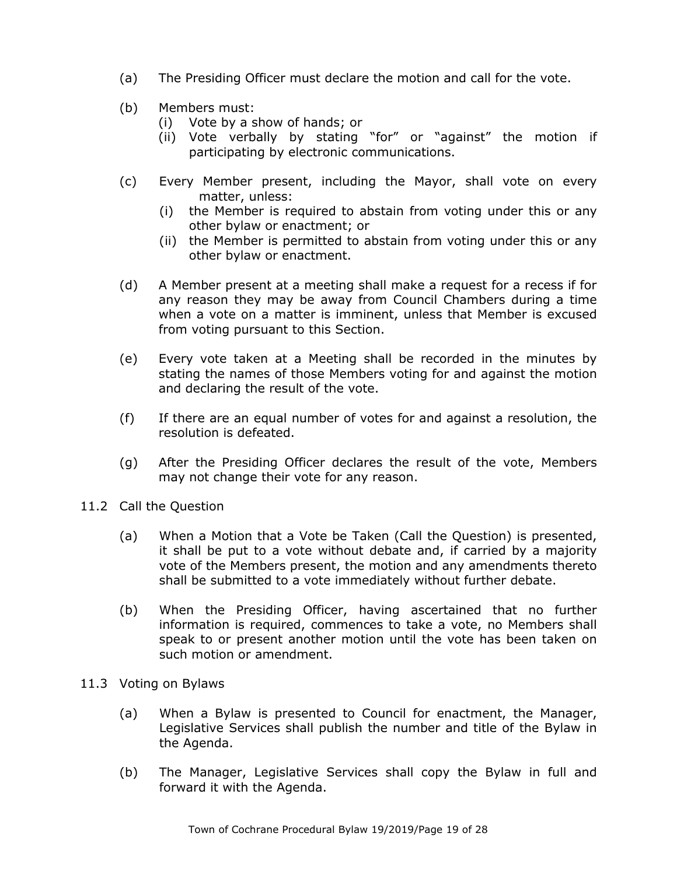- (a) The Presiding Officer must declare the motion and call for the vote.
- (b) Members must:
	- (i) Vote by a show of hands; or
	- (ii) Vote verbally by stating "for" or "against" the motion if participating by electronic communications.
- (c) Every Member present, including the Mayor, shall vote on every matter, unless:
	- (i) the Member is required to abstain from voting under this or any other bylaw or enactment; or
	- (ii) the Member is permitted to abstain from voting under this or any other bylaw or enactment.
- (d) A Member present at a meeting shall make a request for a recess if for any reason they may be away from Council Chambers during a time when a vote on a matter is imminent, unless that Member is excused from voting pursuant to this Section.
- (e) Every vote taken at a Meeting shall be recorded in the minutes by stating the names of those Members voting for and against the motion and declaring the result of the vote.
- (f) If there are an equal number of votes for and against a resolution, the resolution is defeated.
- (g) After the Presiding Officer declares the result of the vote, Members may not change their vote for any reason.
- 11.2 Call the Question
	- (a) When a Motion that a Vote be Taken (Call the Question) is presented, it shall be put to a vote without debate and, if carried by a majority vote of the Members present, the motion and any amendments thereto shall be submitted to a vote immediately without further debate.
	- (b) When the Presiding Officer, having ascertained that no further information is required, commences to take a vote, no Members shall speak to or present another motion until the vote has been taken on such motion or amendment.
- 11.3 Voting on Bylaws
	- (a) When a Bylaw is presented to Council for enactment, the Manager, Legislative Services shall publish the number and title of the Bylaw in the Agenda.
	- (b) The Manager, Legislative Services shall copy the Bylaw in full and forward it with the Agenda.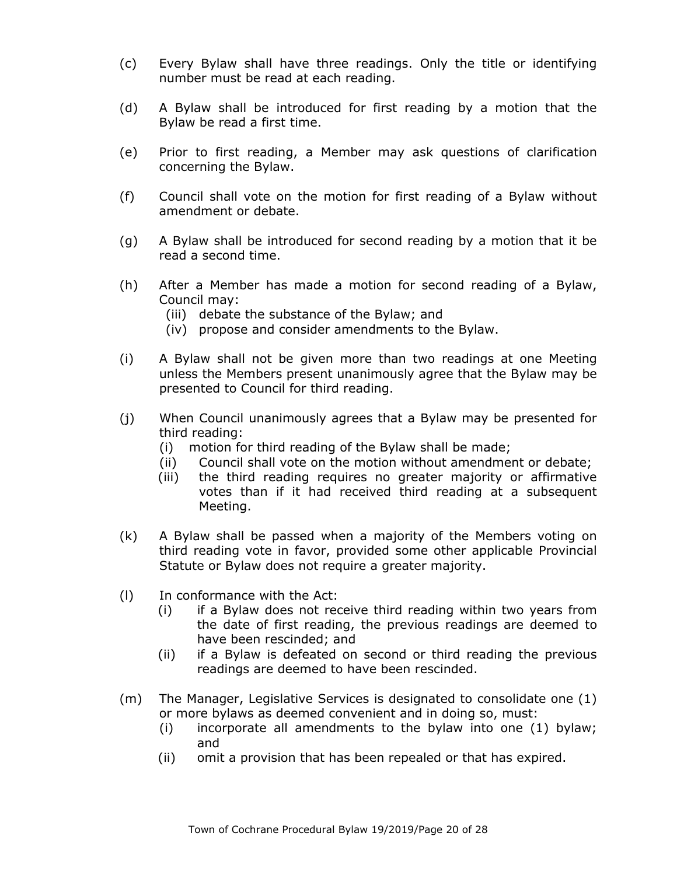- (c) Every Bylaw shall have three readings. Only the title or identifying number must be read at each reading.
- (d) A Bylaw shall be introduced for first reading by a motion that the Bylaw be read a first time.
- (e) Prior to first reading, a Member may ask questions of clarification concerning the Bylaw.
- (f) Council shall vote on the motion for first reading of a Bylaw without amendment or debate.
- (g) A Bylaw shall be introduced for second reading by a motion that it be read a second time.
- (h) After a Member has made a motion for second reading of a Bylaw, Council may:
	- (iii) debate the substance of the Bylaw; and
	- (iv) propose and consider amendments to the Bylaw.
- (i) A Bylaw shall not be given more than two readings at one Meeting unless the Members present unanimously agree that the Bylaw may be presented to Council for third reading.
- (j) When Council unanimously agrees that a Bylaw may be presented for third reading:
	- (i) motion for third reading of the Bylaw shall be made;
	- (ii) Council shall vote on the motion without amendment or debate;
	- (iii) the third reading requires no greater majority or affirmative votes than if it had received third reading at a subsequent Meeting.
- (k) A Bylaw shall be passed when a majority of the Members voting on third reading vote in favor, provided some other applicable Provincial Statute or Bylaw does not require a greater majority.
- (l) In conformance with the Act:
	- (i) if a Bylaw does not receive third reading within two years from the date of first reading, the previous readings are deemed to have been rescinded; and
	- (ii) if a Bylaw is defeated on second or third reading the previous readings are deemed to have been rescinded.
- (m) The Manager, Legislative Services is designated to consolidate one (1) or more bylaws as deemed convenient and in doing so, must:
	- (i) incorporate all amendments to the bylaw into one (1) bylaw; and
	- (ii) omit a provision that has been repealed or that has expired.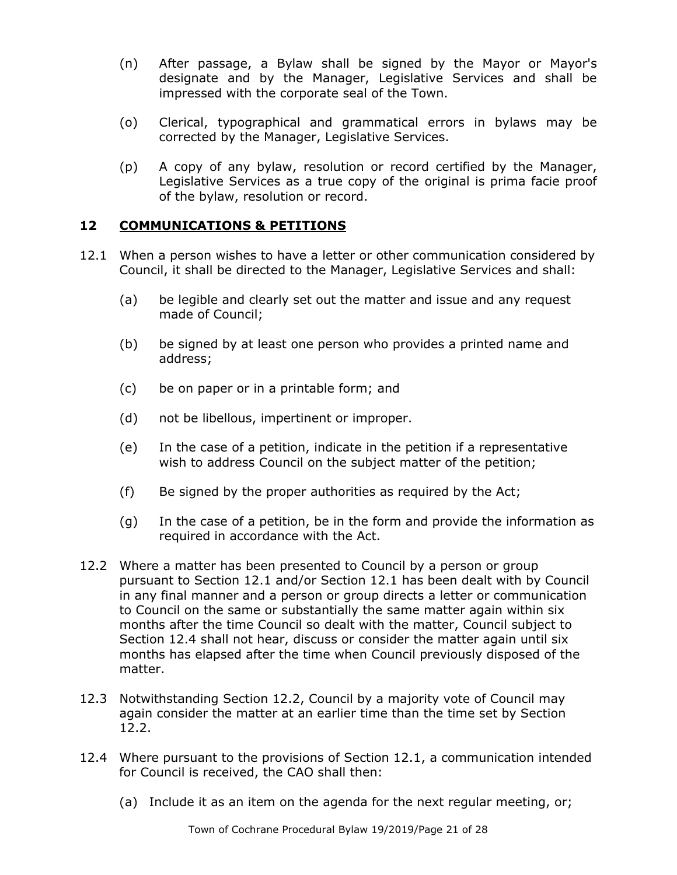- (n) After passage, a Bylaw shall be signed by the Mayor or Mayor's designate and by the Manager, Legislative Services and shall be impressed with the corporate seal of the Town.
- (o) Clerical, typographical and grammatical errors in bylaws may be corrected by the Manager, Legislative Services.
- (p) A copy of any bylaw, resolution or record certified by the Manager, Legislative Services as a true copy of the original is prima facie proof of the bylaw, resolution or record.

# **12 COMMUNICATIONS & PETITIONS**

- 12.1 When a person wishes to have a letter or other communication considered by Council, it shall be directed to the Manager, Legislative Services and shall:
	- (a) be legible and clearly set out the matter and issue and any request made of Council;
	- (b) be signed by at least one person who provides a printed name and address;
	- (c) be on paper or in a printable form; and
	- (d) not be libellous, impertinent or improper.
	- (e) In the case of a petition, indicate in the petition if a representative wish to address Council on the subject matter of the petition;
	- (f) Be signed by the proper authorities as required by the Act;
	- (g) In the case of a petition, be in the form and provide the information as required in accordance with the Act.
- 12.2 Where a matter has been presented to Council by a person or group pursuant to Section 12.1 and/or Section 12.1 has been dealt with by Council in any final manner and a person or group directs a letter or communication to Council on the same or substantially the same matter again within six months after the time Council so dealt with the matter, Council subject to Section 12.4 shall not hear, discuss or consider the matter again until six months has elapsed after the time when Council previously disposed of the matter.
- 12.3 Notwithstanding Section 12.2, Council by a majority vote of Council may again consider the matter at an earlier time than the time set by Section 12.2.
- 12.4 Where pursuant to the provisions of Section 12.1, a communication intended for Council is received, the CAO shall then:
	- (a) Include it as an item on the agenda for the next regular meeting, or;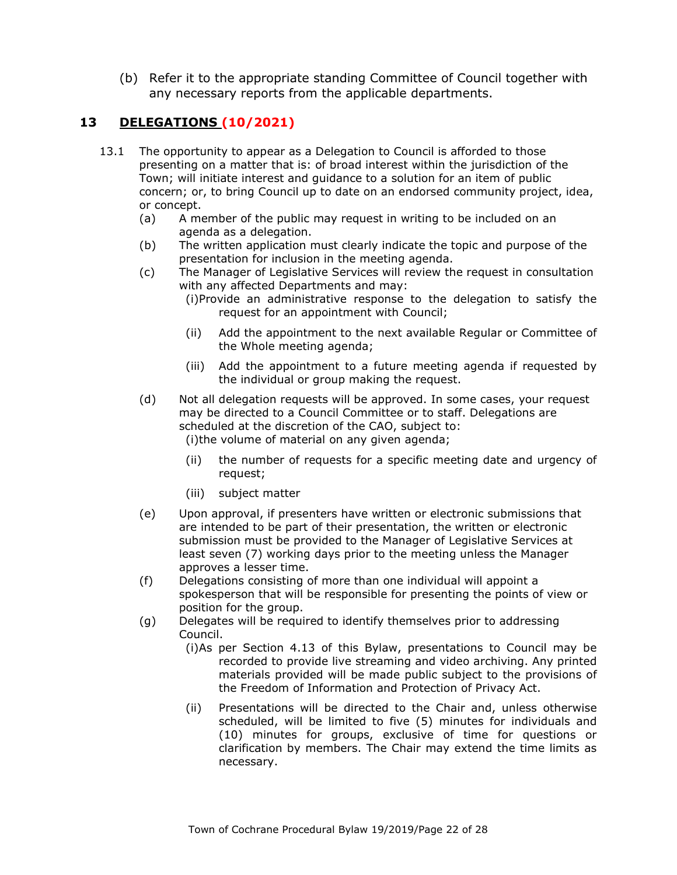(b) Refer it to the appropriate standing Committee of Council together with any necessary reports from the applicable departments.

# **13 DELEGATIONS (10/2021)**

- 13.1 The opportunity to appear as a Delegation to Council is afforded to those presenting on a matter that is: of broad interest within the jurisdiction of the Town; will initiate interest and guidance to a solution for an item of public concern; or, to bring Council up to date on an endorsed community project, idea, or concept.
	- (a) A member of the public may request in writing to be included on an agenda as a delegation.
	- (b) The written application must clearly indicate the topic and purpose of the presentation for inclusion in the meeting agenda.
	- (c) The Manager of Legislative Services will review the request in consultation with any affected Departments and may:
		- (i)Provide an administrative response to the delegation to satisfy the request for an appointment with Council;
		- (ii) Add the appointment to the next available Regular or Committee of the Whole meeting agenda;
		- (iii) Add the appointment to a future meeting agenda if requested by the individual or group making the request.
	- (d) Not all delegation requests will be approved. In some cases, your request may be directed to a Council Committee or to staff. Delegations are scheduled at the discretion of the CAO, subject to: (i)the volume of material on any given agenda;
		- (ii) the number of requests for a specific meeting date and urgency of request;
		- (iii) subject matter
	- (e) Upon approval, if presenters have written or electronic submissions that are intended to be part of their presentation, the written or electronic submission must be provided to the Manager of Legislative Services at least seven (7) working days prior to the meeting unless the Manager approves a lesser time.
	- (f) Delegations consisting of more than one individual will appoint a spokesperson that will be responsible for presenting the points of view or position for the group.
	- (g) Delegates will be required to identify themselves prior to addressing Council.
		- (i)As per Section 4.13 of this Bylaw, presentations to Council may be recorded to provide live streaming and video archiving. Any printed materials provided will be made public subject to the provisions of the Freedom of Information and Protection of Privacy Act.
		- (ii) Presentations will be directed to the Chair and, unless otherwise scheduled, will be limited to five (5) minutes for individuals and (10) minutes for groups, exclusive of time for questions or clarification by members. The Chair may extend the time limits as necessary.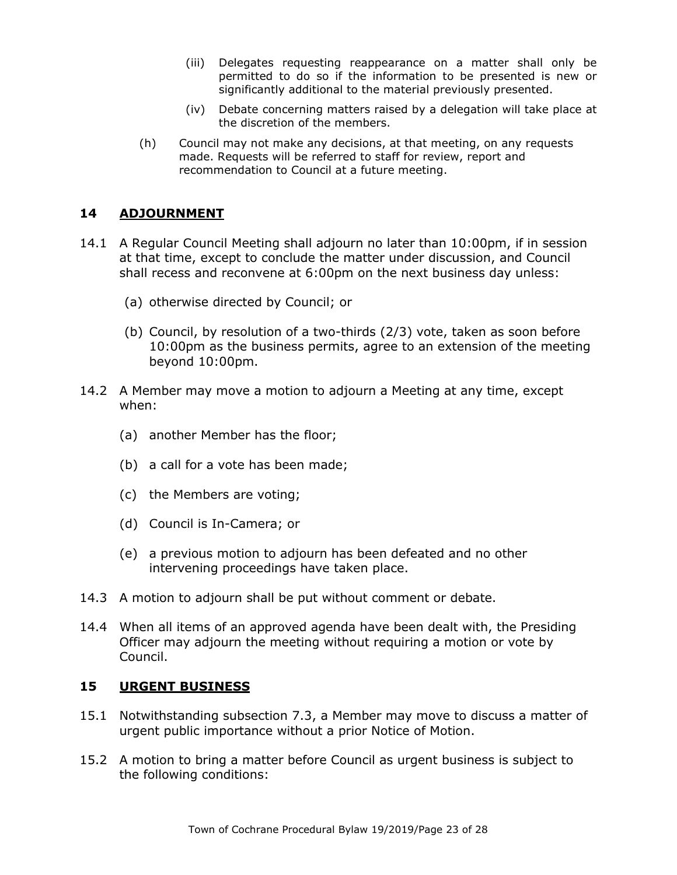- (iii) Delegates requesting reappearance on a matter shall only be permitted to do so if the information to be presented is new or significantly additional to the material previously presented.
- (iv) Debate concerning matters raised by a delegation will take place at the discretion of the members.
- (h) Council may not make any decisions, at that meeting, on any requests made. Requests will be referred to staff for review, report and recommendation to Council at a future meeting.

## **14 ADJOURNMENT**

- 14.1 A Regular Council Meeting shall adjourn no later than 10:00pm, if in session at that time, except to conclude the matter under discussion, and Council shall recess and reconvene at 6:00pm on the next business day unless:
	- (a) otherwise directed by Council; or
	- (b) Council, by resolution of a two-thirds (2/3) vote, taken as soon before 10:00pm as the business permits, agree to an extension of the meeting beyond 10:00pm.
- 14.2 A Member may move a motion to adjourn a Meeting at any time, except when:
	- (a) another Member has the floor;
	- (b) a call for a vote has been made;
	- (c) the Members are voting;
	- (d) Council is In-Camera; or
	- (e) a previous motion to adjourn has been defeated and no other intervening proceedings have taken place.
- 14.3 A motion to adjourn shall be put without comment or debate.
- 14.4 When all items of an approved agenda have been dealt with, the Presiding Officer may adjourn the meeting without requiring a motion or vote by Council.

## **15 URGENT BUSINESS**

- 15.1 Notwithstanding subsection 7.3, a Member may move to discuss a matter of urgent public importance without a prior Notice of Motion.
- 15.2 A motion to bring a matter before Council as urgent business is subject to the following conditions: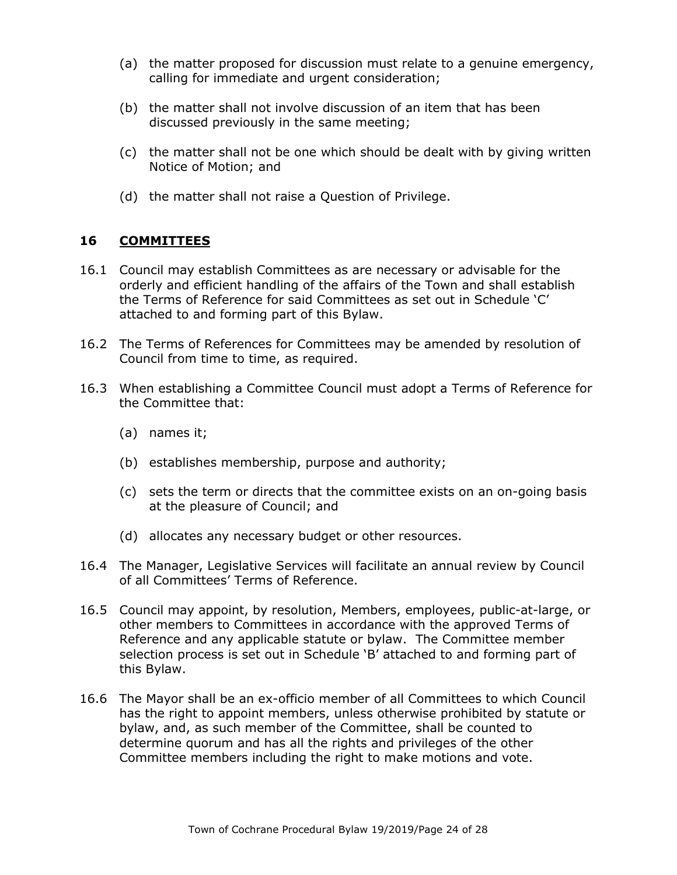- (a) the matter proposed for discussion must relate to a genuine emergency, calling for immediate and urgent consideration;
- (b) the matter shall not involve discussion of an item that has been discussed previously in the same meeting;
- (c) the matter shall not be one which should be dealt with by giving written Notice of Motion; and
- (d) the matter shall not raise a Question of Privilege.

## **16 COMMITTEES**

- 16.1 Council may establish Committees as are necessary or advisable for the orderly and efficient handling of the affairs of the Town and shall establish the Terms of Reference for said Committees as set out in Schedule 'C' attached to and forming part of this Bylaw.
- 16.2 The Terms of References for Committees may be amended by resolution of Council from time to time, as required.
- 16.3 When establishing a Committee Council must adopt a Terms of Reference for the Committee that:
	- (a) names it;
	- (b) establishes membership, purpose and authority;
	- (c) sets the term or directs that the committee exists on an on-going basis at the pleasure of Council; and
	- (d) allocates any necessary budget or other resources.
- 16.4 The Manager, Legislative Services will facilitate an annual review by Council of all Committees' Terms of Reference.
- 16.5 Council may appoint, by resolution, Members, employees, public-at-large, or other members to Committees in accordance with the approved Terms of Reference and any applicable statute or bylaw. The Committee member selection process is set out in Schedule 'B' attached to and forming part of this Bylaw.
- 16.6 The Mayor shall be an ex-officio member of all Committees to which Council has the right to appoint members, unless otherwise prohibited by statute or bylaw, and, as such member of the Committee, shall be counted to determine quorum and has all the rights and privileges of the other Committee members including the right to make motions and vote.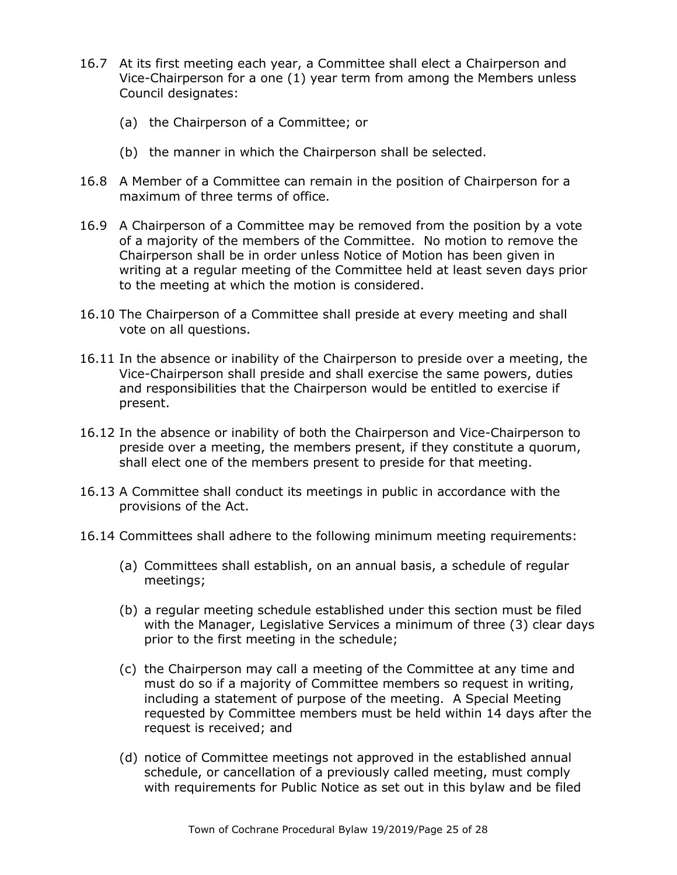- 16.7 At its first meeting each year, a Committee shall elect a Chairperson and Vice-Chairperson for a one (1) year term from among the Members unless Council designates:
	- (a) the Chairperson of a Committee; or
	- (b) the manner in which the Chairperson shall be selected.
- 16.8 A Member of a Committee can remain in the position of Chairperson for a maximum of three terms of office.
- 16.9 A Chairperson of a Committee may be removed from the position by a vote of a majority of the members of the Committee. No motion to remove the Chairperson shall be in order unless Notice of Motion has been given in writing at a regular meeting of the Committee held at least seven days prior to the meeting at which the motion is considered.
- 16.10 The Chairperson of a Committee shall preside at every meeting and shall vote on all questions.
- 16.11 In the absence or inability of the Chairperson to preside over a meeting, the Vice-Chairperson shall preside and shall exercise the same powers, duties and responsibilities that the Chairperson would be entitled to exercise if present.
- 16.12 In the absence or inability of both the Chairperson and Vice-Chairperson to preside over a meeting, the members present, if they constitute a quorum, shall elect one of the members present to preside for that meeting.
- 16.13 A Committee shall conduct its meetings in public in accordance with the provisions of the Act.
- 16.14 Committees shall adhere to the following minimum meeting requirements:
	- (a) Committees shall establish, on an annual basis, a schedule of regular meetings;
	- (b) a regular meeting schedule established under this section must be filed with the Manager, Legislative Services a minimum of three (3) clear days prior to the first meeting in the schedule;
	- (c) the Chairperson may call a meeting of the Committee at any time and must do so if a majority of Committee members so request in writing, including a statement of purpose of the meeting. A Special Meeting requested by Committee members must be held within 14 days after the request is received; and
	- (d) notice of Committee meetings not approved in the established annual schedule, or cancellation of a previously called meeting, must comply with requirements for Public Notice as set out in this bylaw and be filed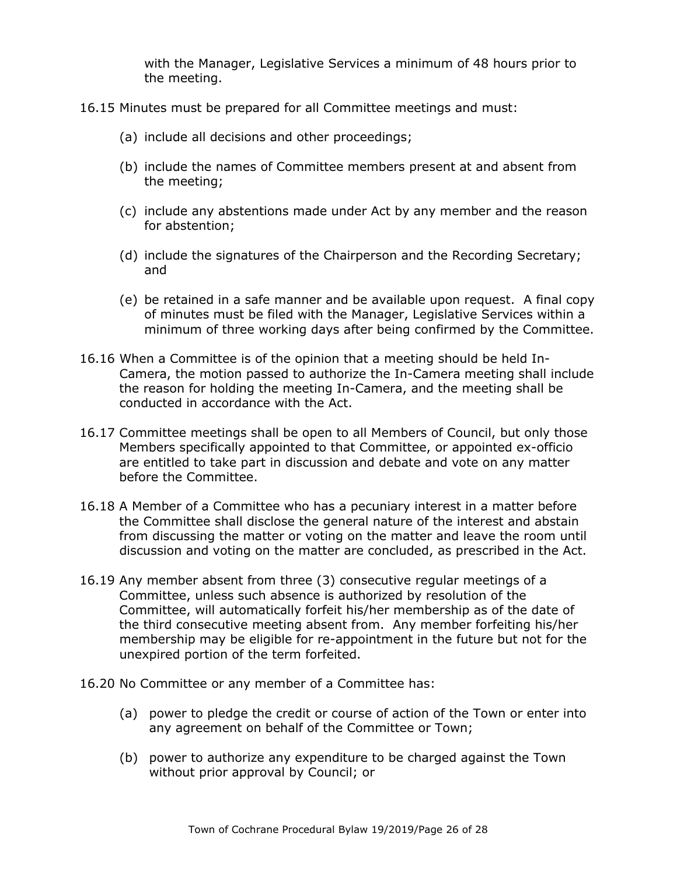with the Manager, Legislative Services a minimum of 48 hours prior to the meeting.

- 16.15 Minutes must be prepared for all Committee meetings and must:
	- (a) include all decisions and other proceedings;
	- (b) include the names of Committee members present at and absent from the meeting;
	- (c) include any abstentions made under Act by any member and the reason for abstention;
	- (d) include the signatures of the Chairperson and the Recording Secretary; and
	- (e) be retained in a safe manner and be available upon request. A final copy of minutes must be filed with the Manager, Legislative Services within a minimum of three working days after being confirmed by the Committee.
- 16.16 When a Committee is of the opinion that a meeting should be held In-Camera, the motion passed to authorize the In-Camera meeting shall include the reason for holding the meeting In-Camera, and the meeting shall be conducted in accordance with the Act.
- 16.17 Committee meetings shall be open to all Members of Council, but only those Members specifically appointed to that Committee, or appointed ex-officio are entitled to take part in discussion and debate and vote on any matter before the Committee.
- 16.18 A Member of a Committee who has a pecuniary interest in a matter before the Committee shall disclose the general nature of the interest and abstain from discussing the matter or voting on the matter and leave the room until discussion and voting on the matter are concluded, as prescribed in the Act.
- 16.19 Any member absent from three (3) consecutive regular meetings of a Committee, unless such absence is authorized by resolution of the Committee, will automatically forfeit his/her membership as of the date of the third consecutive meeting absent from. Any member forfeiting his/her membership may be eligible for re-appointment in the future but not for the unexpired portion of the term forfeited.
- 16.20 No Committee or any member of a Committee has:
	- (a) power to pledge the credit or course of action of the Town or enter into any agreement on behalf of the Committee or Town;
	- (b) power to authorize any expenditure to be charged against the Town without prior approval by Council; or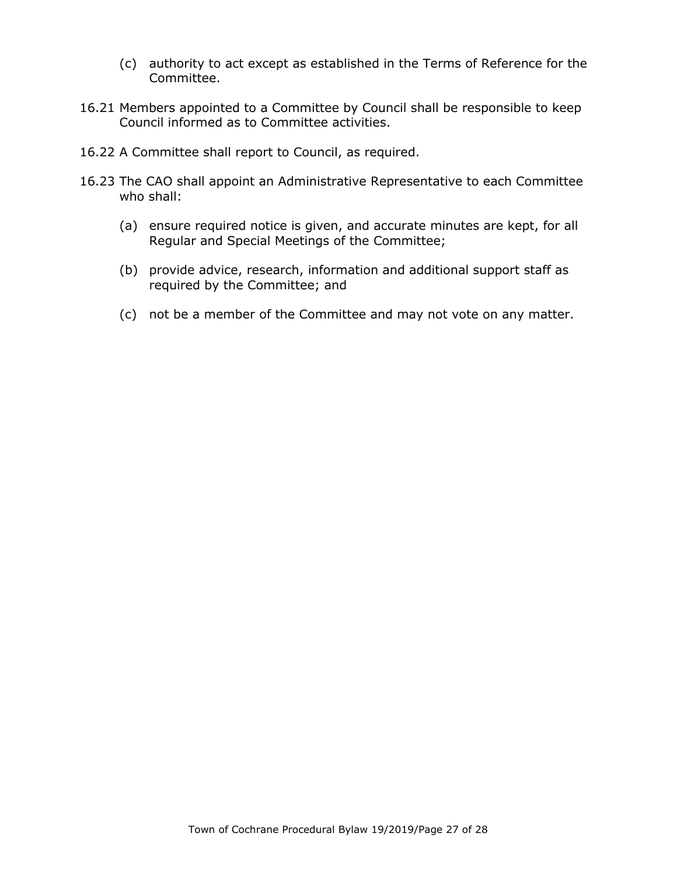- (c) authority to act except as established in the Terms of Reference for the Committee.
- 16.21 Members appointed to a Committee by Council shall be responsible to keep Council informed as to Committee activities.
- 16.22 A Committee shall report to Council, as required.
- 16.23 The CAO shall appoint an Administrative Representative to each Committee who shall:
	- (a) ensure required notice is given, and accurate minutes are kept, for all Regular and Special Meetings of the Committee;
	- (b) provide advice, research, information and additional support staff as required by the Committee; and
	- (c) not be a member of the Committee and may not vote on any matter.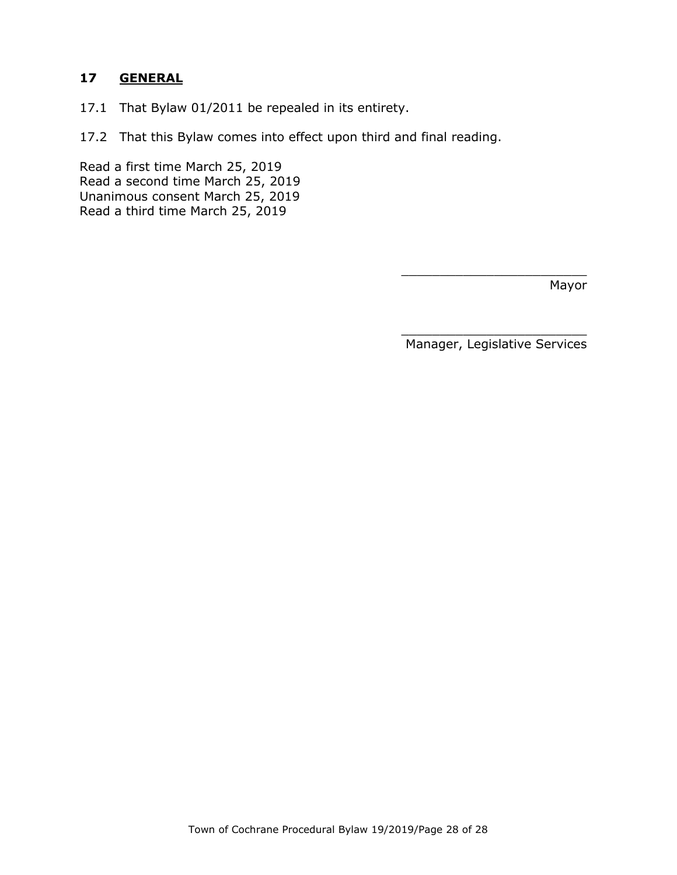# **17 GENERAL**

- 17.1 That Bylaw 01/2011 be repealed in its entirety.
- 17.2 That this Bylaw comes into effect upon third and final reading.

Read a first time March 25, 2019 Read a second time March 25, 2019 Unanimous consent March 25, 2019 Read a third time March 25, 2019

Mayor

\_\_\_\_\_\_\_\_\_\_\_\_\_\_\_\_\_\_\_\_\_\_\_\_ Manager, Legislative Services

\_\_\_\_\_\_\_\_\_\_\_\_\_\_\_\_\_\_\_\_\_\_\_\_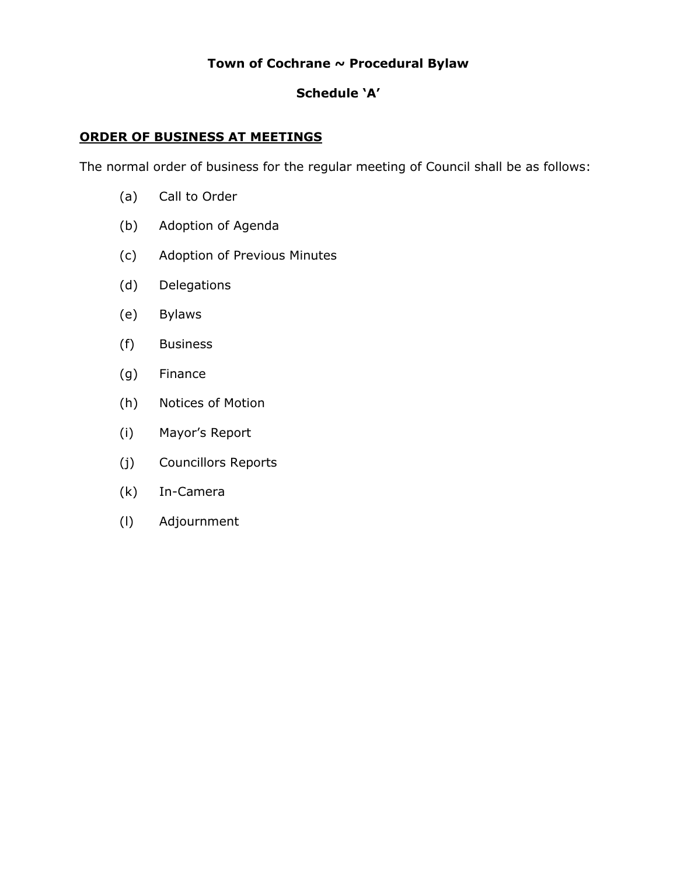# **Town of Cochrane ~ Procedural Bylaw**

# **Schedule 'A'**

# **ORDER OF BUSINESS AT MEETINGS**

The normal order of business for the regular meeting of Council shall be as follows:

- (a) Call to Order
- (b) Adoption of Agenda
- (c) Adoption of Previous Minutes
- (d) Delegations
- (e) Bylaws
- (f) Business
- (g) Finance
- (h) Notices of Motion
- (i) Mayor's Report
- (j) Councillors Reports
- (k) In-Camera
- (l) Adjournment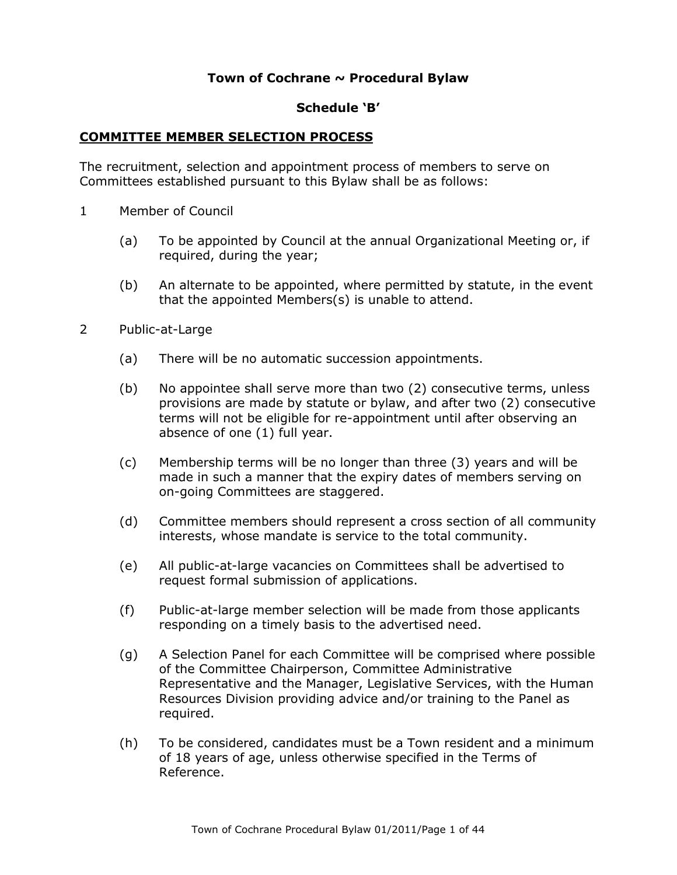## **Town of Cochrane ~ Procedural Bylaw**

#### **Schedule 'B'**

#### **COMMITTEE MEMBER SELECTION PROCESS**

The recruitment, selection and appointment process of members to serve on Committees established pursuant to this Bylaw shall be as follows:

- 1 Member of Council
	- (a) To be appointed by Council at the annual Organizational Meeting or, if required, during the year;
	- (b) An alternate to be appointed, where permitted by statute, in the event that the appointed Members(s) is unable to attend.
- 2 Public-at-Large
	- (a) There will be no automatic succession appointments.
	- (b) No appointee shall serve more than two (2) consecutive terms, unless provisions are made by statute or bylaw, and after two (2) consecutive terms will not be eligible for re-appointment until after observing an absence of one (1) full year.
	- (c) Membership terms will be no longer than three (3) years and will be made in such a manner that the expiry dates of members serving on on-going Committees are staggered.
	- (d) Committee members should represent a cross section of all community interests, whose mandate is service to the total community.
	- (e) All public-at-large vacancies on Committees shall be advertised to request formal submission of applications.
	- (f) Public-at-large member selection will be made from those applicants responding on a timely basis to the advertised need.
	- (g) A Selection Panel for each Committee will be comprised where possible of the Committee Chairperson, Committee Administrative Representative and the Manager, Legislative Services, with the Human Resources Division providing advice and/or training to the Panel as required.
	- (h) To be considered, candidates must be a Town resident and a minimum of 18 years of age, unless otherwise specified in the Terms of Reference.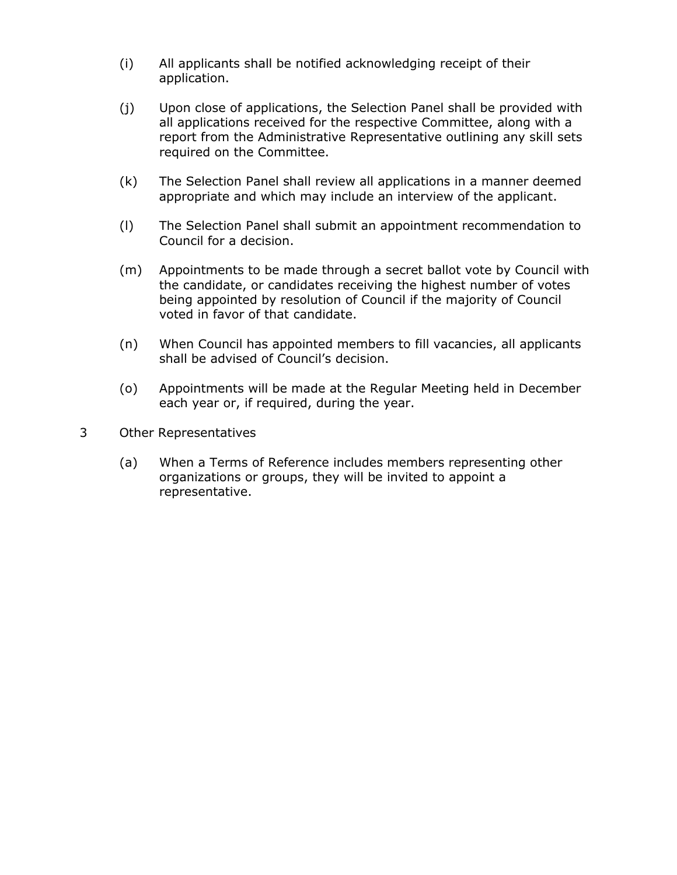- (i) All applicants shall be notified acknowledging receipt of their application.
- (j) Upon close of applications, the Selection Panel shall be provided with all applications received for the respective Committee, along with a report from the Administrative Representative outlining any skill sets required on the Committee.
- (k) The Selection Panel shall review all applications in a manner deemed appropriate and which may include an interview of the applicant.
- (l) The Selection Panel shall submit an appointment recommendation to Council for a decision.
- (m) Appointments to be made through a secret ballot vote by Council with the candidate, or candidates receiving the highest number of votes being appointed by resolution of Council if the majority of Council voted in favor of that candidate.
- (n) When Council has appointed members to fill vacancies, all applicants shall be advised of Council's decision.
- (o) Appointments will be made at the Regular Meeting held in December each year or, if required, during the year.
- 3 Other Representatives
	- (a) When a Terms of Reference includes members representing other organizations or groups, they will be invited to appoint a representative.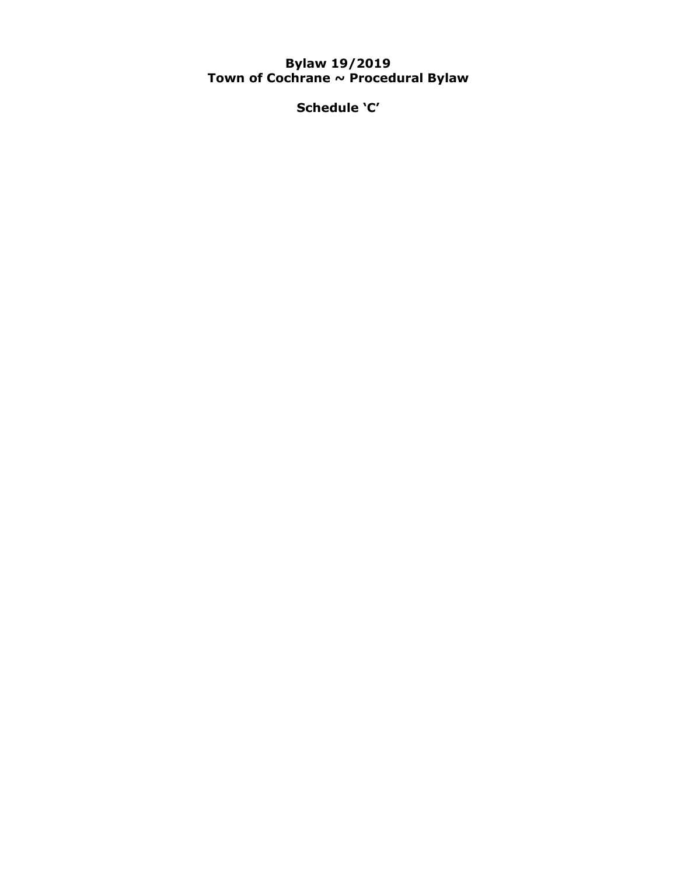### **Bylaw 19/2019 Town of Cochrane ~ Procedural Bylaw**

**Schedule 'C'**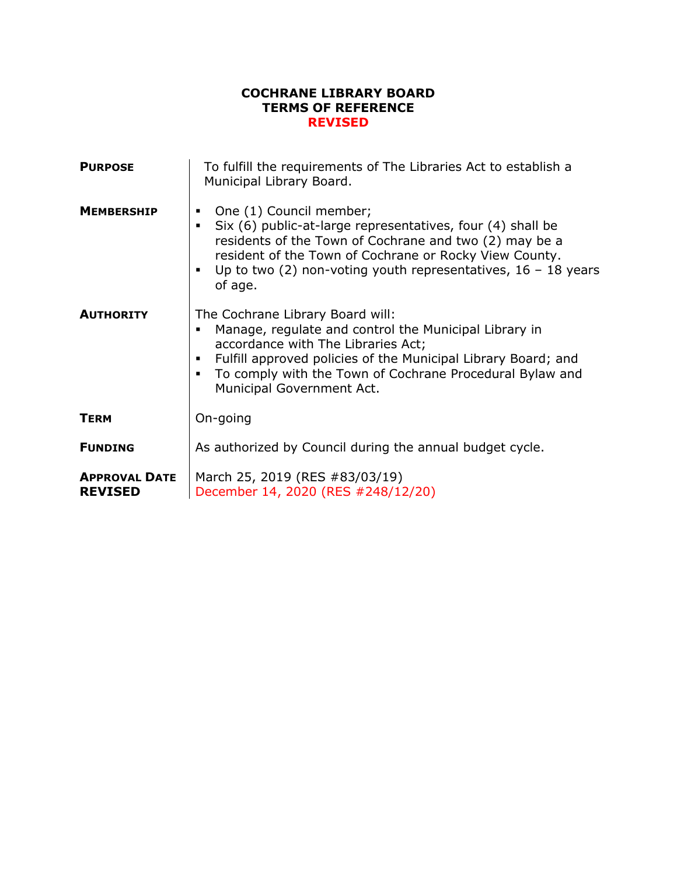### **COCHRANE LIBRARY BOARD TERMS OF REFERENCE REVISED**

| <b>PURPOSE</b>                         | To fulfill the requirements of The Libraries Act to establish a<br>Municipal Library Board.                                                                                                                                                                                                               |
|----------------------------------------|-----------------------------------------------------------------------------------------------------------------------------------------------------------------------------------------------------------------------------------------------------------------------------------------------------------|
| <b>MEMBERSHIP</b>                      | One (1) Council member;<br>Six (6) public-at-large representatives, four (4) shall be<br>$\blacksquare$<br>residents of the Town of Cochrane and two (2) may be a<br>resident of the Town of Cochrane or Rocky View County.<br>Up to two (2) non-voting youth representatives, $16 - 18$ years<br>of age. |
| <b>AUTHORITY</b>                       | The Cochrane Library Board will:<br>Manage, regulate and control the Municipal Library in<br>accordance with The Libraries Act;<br>Fulfill approved policies of the Municipal Library Board; and<br>٠<br>To comply with the Town of Cochrane Procedural Bylaw and<br>Municipal Government Act.            |
| <b>TERM</b>                            | On-going                                                                                                                                                                                                                                                                                                  |
| <b>FUNDING</b>                         | As authorized by Council during the annual budget cycle.                                                                                                                                                                                                                                                  |
| <b>APPROVAL DATE</b><br><b>REVISED</b> | March 25, 2019 (RES #83/03/19)<br>December 14, 2020 (RES #248/12/20)                                                                                                                                                                                                                                      |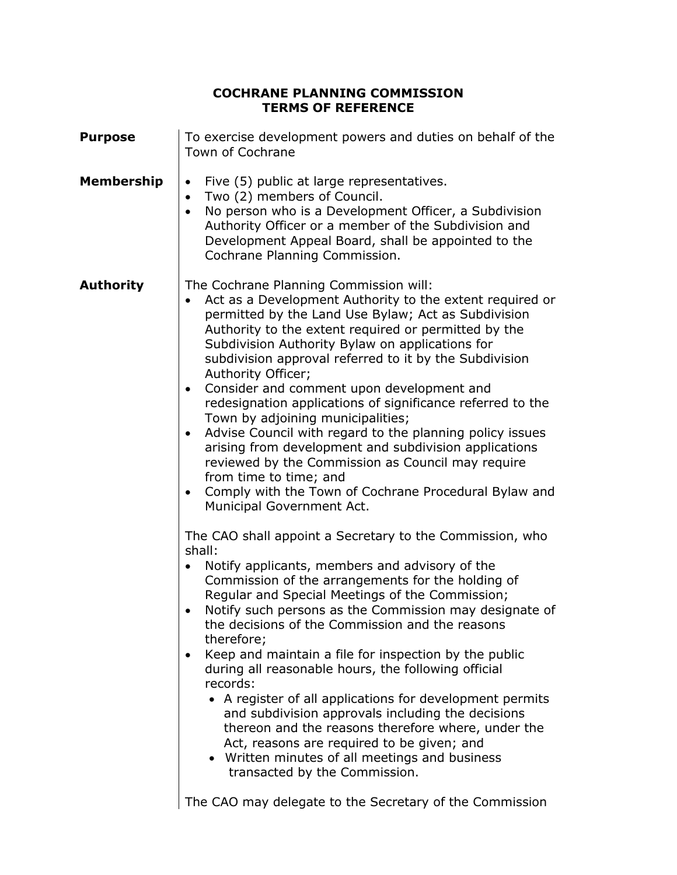# **COCHRANE PLANNING COMMISSION TERMS OF REFERENCE**

| <b>Purpose</b> | To exercise development powers and duties on behalf of the<br>Town of Cochrane                                                                                                                                                                                                                                                                                                                                                                                                                                                                                                                                                                                                                                                                                                                                                                                                                                                                                                                                                                                                                                                                                                                                                                                                                                                                                                                                                                                                                                                                                                                                                                                              |
|----------------|-----------------------------------------------------------------------------------------------------------------------------------------------------------------------------------------------------------------------------------------------------------------------------------------------------------------------------------------------------------------------------------------------------------------------------------------------------------------------------------------------------------------------------------------------------------------------------------------------------------------------------------------------------------------------------------------------------------------------------------------------------------------------------------------------------------------------------------------------------------------------------------------------------------------------------------------------------------------------------------------------------------------------------------------------------------------------------------------------------------------------------------------------------------------------------------------------------------------------------------------------------------------------------------------------------------------------------------------------------------------------------------------------------------------------------------------------------------------------------------------------------------------------------------------------------------------------------------------------------------------------------------------------------------------------------|
| Membership     | Five (5) public at large representatives.<br>$\bullet$<br>Two (2) members of Council.<br>$\bullet$<br>No person who is a Development Officer, a Subdivision<br>$\bullet$<br>Authority Officer or a member of the Subdivision and<br>Development Appeal Board, shall be appointed to the<br>Cochrane Planning Commission.                                                                                                                                                                                                                                                                                                                                                                                                                                                                                                                                                                                                                                                                                                                                                                                                                                                                                                                                                                                                                                                                                                                                                                                                                                                                                                                                                    |
| Authority      | The Cochrane Planning Commission will:<br>Act as a Development Authority to the extent required or<br>$\bullet$<br>permitted by the Land Use Bylaw; Act as Subdivision<br>Authority to the extent required or permitted by the<br>Subdivision Authority Bylaw on applications for<br>subdivision approval referred to it by the Subdivision<br>Authority Officer;<br>Consider and comment upon development and<br>$\bullet$<br>redesignation applications of significance referred to the<br>Town by adjoining municipalities;<br>Advise Council with regard to the planning policy issues<br>$\bullet$<br>arising from development and subdivision applications<br>reviewed by the Commission as Council may require<br>from time to time; and<br>Comply with the Town of Cochrane Procedural Bylaw and<br>$\bullet$<br>Municipal Government Act.<br>The CAO shall appoint a Secretary to the Commission, who<br>shall:<br>Notify applicants, members and advisory of the<br>Commission of the arrangements for the holding of<br>Regular and Special Meetings of the Commission;<br>Notify such persons as the Commission may designate of<br>$\bullet$<br>the decisions of the Commission and the reasons<br>therefore;<br>Keep and maintain a file for inspection by the public<br>$\bullet$<br>during all reasonable hours, the following official<br>records:<br>• A register of all applications for development permits<br>and subdivision approvals including the decisions<br>thereon and the reasons therefore where, under the<br>Act, reasons are required to be given; and<br>• Written minutes of all meetings and business<br>transacted by the Commission. |

The CAO may delegate to the Secretary of the Commission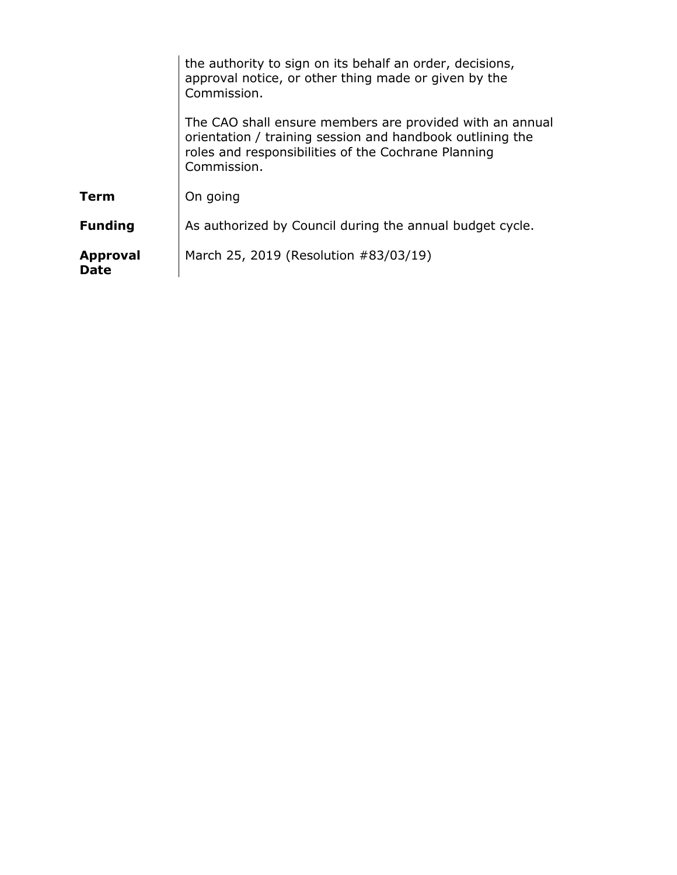|                                | the authority to sign on its behalf an order, decisions,<br>approval notice, or other thing made or given by the<br>Commission.                                                             |
|--------------------------------|---------------------------------------------------------------------------------------------------------------------------------------------------------------------------------------------|
|                                | The CAO shall ensure members are provided with an annual<br>orientation / training session and handbook outlining the<br>roles and responsibilities of the Cochrane Planning<br>Commission. |
| <b>Term</b>                    | On going                                                                                                                                                                                    |
| <b>Funding</b>                 | As authorized by Council during the annual budget cycle.                                                                                                                                    |
| <b>Approval</b><br><b>Date</b> | March 25, 2019 (Resolution #83/03/19)                                                                                                                                                       |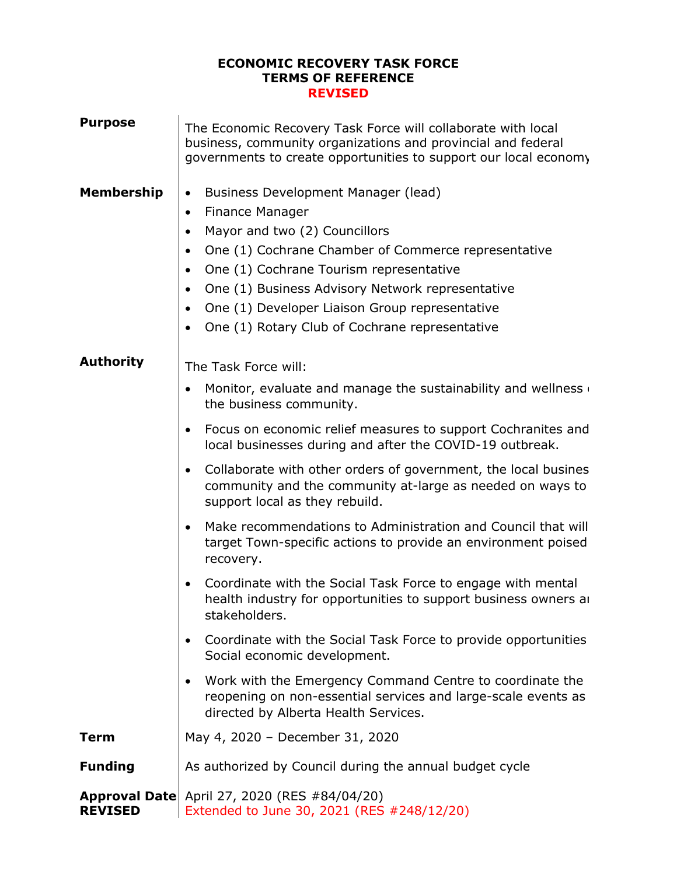#### **ECONOMIC RECOVERY TASK FORCE TERMS OF REFERENCE REVISED**

| <b>Purpose</b>    | The Economic Recovery Task Force will collaborate with local<br>business, community organizations and provincial and federal<br>governments to create opportunities to support our local economy                                                                                                                                                                                                                                                                                                                                                                                                                                                                                                                                                                                                                                                                                                                                                                                                                                                                   |
|-------------------|--------------------------------------------------------------------------------------------------------------------------------------------------------------------------------------------------------------------------------------------------------------------------------------------------------------------------------------------------------------------------------------------------------------------------------------------------------------------------------------------------------------------------------------------------------------------------------------------------------------------------------------------------------------------------------------------------------------------------------------------------------------------------------------------------------------------------------------------------------------------------------------------------------------------------------------------------------------------------------------------------------------------------------------------------------------------|
| <b>Membership</b> | Business Development Manager (lead)<br>$\bullet$<br><b>Finance Manager</b><br>$\bullet$<br>Mayor and two (2) Councillors<br>$\bullet$<br>One (1) Cochrane Chamber of Commerce representative<br>$\bullet$<br>One (1) Cochrane Tourism representative<br>$\bullet$<br>One (1) Business Advisory Network representative<br>$\bullet$<br>One (1) Developer Liaison Group representative<br>$\bullet$<br>One (1) Rotary Club of Cochrane representative<br>$\bullet$                                                                                                                                                                                                                                                                                                                                                                                                                                                                                                                                                                                                   |
| <b>Authority</b>  | The Task Force will:<br>Monitor, evaluate and manage the sustainability and wellness<br>$\bullet$<br>the business community.<br>Focus on economic relief measures to support Cochranites and<br>$\bullet$<br>local businesses during and after the COVID-19 outbreak.<br>Collaborate with other orders of government, the local busines<br>$\bullet$<br>community and the community at-large as needed on ways to<br>support local as they rebuild.<br>Make recommendations to Administration and Council that will<br>target Town-specific actions to provide an environment poised<br>recovery.<br>Coordinate with the Social Task Force to engage with mental<br>$\bullet$<br>health industry for opportunities to support business owners an<br>stakeholders.<br>Coordinate with the Social Task Force to provide opportunities<br>$\bullet$<br>Social economic development.<br>Work with the Emergency Command Centre to coordinate the<br>$\bullet$<br>reopening on non-essential services and large-scale events as<br>directed by Alberta Health Services. |
| <b>Term</b>       | May 4, 2020 - December 31, 2020                                                                                                                                                                                                                                                                                                                                                                                                                                                                                                                                                                                                                                                                                                                                                                                                                                                                                                                                                                                                                                    |
| <b>Funding</b>    | As authorized by Council during the annual budget cycle                                                                                                                                                                                                                                                                                                                                                                                                                                                                                                                                                                                                                                                                                                                                                                                                                                                                                                                                                                                                            |
| <b>REVISED</b>    | <b>Approval Date</b> April 27, 2020 (RES #84/04/20)<br>Extended to June 30, 2021 (RES #248/12/20)                                                                                                                                                                                                                                                                                                                                                                                                                                                                                                                                                                                                                                                                                                                                                                                                                                                                                                                                                                  |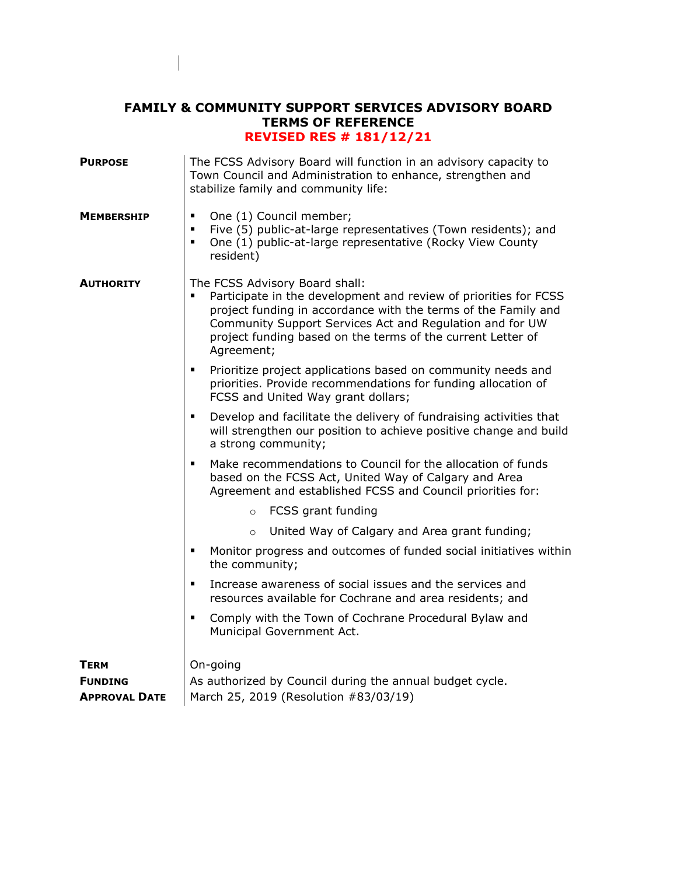## **FAMILY & COMMUNITY SUPPORT SERVICES ADVISORY BOARD TERMS OF REFERENCE REVISED RES # 181/12/21**

| <b>PURPOSE</b>       | The FCSS Advisory Board will function in an advisory capacity to<br>Town Council and Administration to enhance, strengthen and<br>stabilize family and community life:                                                                                                                                        |
|----------------------|---------------------------------------------------------------------------------------------------------------------------------------------------------------------------------------------------------------------------------------------------------------------------------------------------------------|
| <b>MEMBERSHIP</b>    | One (1) Council member;<br>٠<br>Five (5) public-at-large representatives (Town residents); and<br>٠<br>One (1) public-at-large representative (Rocky View County<br>٠<br>resident)                                                                                                                            |
| <b>AUTHORITY</b>     | The FCSS Advisory Board shall:<br>Participate in the development and review of priorities for FCSS<br>project funding in accordance with the terms of the Family and<br>Community Support Services Act and Regulation and for UW<br>project funding based on the terms of the current Letter of<br>Agreement; |
|                      | Prioritize project applications based on community needs and<br>٠<br>priorities. Provide recommendations for funding allocation of<br>FCSS and United Way grant dollars;                                                                                                                                      |
|                      | Develop and facilitate the delivery of fundraising activities that<br>٠<br>will strengthen our position to achieve positive change and build<br>a strong community;                                                                                                                                           |
|                      | Make recommendations to Council for the allocation of funds<br>٠<br>based on the FCSS Act, United Way of Calgary and Area<br>Agreement and established FCSS and Council priorities for:                                                                                                                       |
|                      | FCSS grant funding<br>$\circ$                                                                                                                                                                                                                                                                                 |
|                      | United Way of Calgary and Area grant funding;<br>$\circ$                                                                                                                                                                                                                                                      |
|                      | Monitor progress and outcomes of funded social initiatives within<br>п<br>the community;                                                                                                                                                                                                                      |
|                      | Increase awareness of social issues and the services and<br>٠<br>resources available for Cochrane and area residents; and                                                                                                                                                                                     |
|                      | Comply with the Town of Cochrane Procedural Bylaw and<br>٠<br>Municipal Government Act.                                                                                                                                                                                                                       |
| <b>TERM</b>          | On-going                                                                                                                                                                                                                                                                                                      |
| <b>FUNDING</b>       | As authorized by Council during the annual budget cycle.                                                                                                                                                                                                                                                      |
| <b>APPROVAL DATE</b> | March 25, 2019 (Resolution #83/03/19)                                                                                                                                                                                                                                                                         |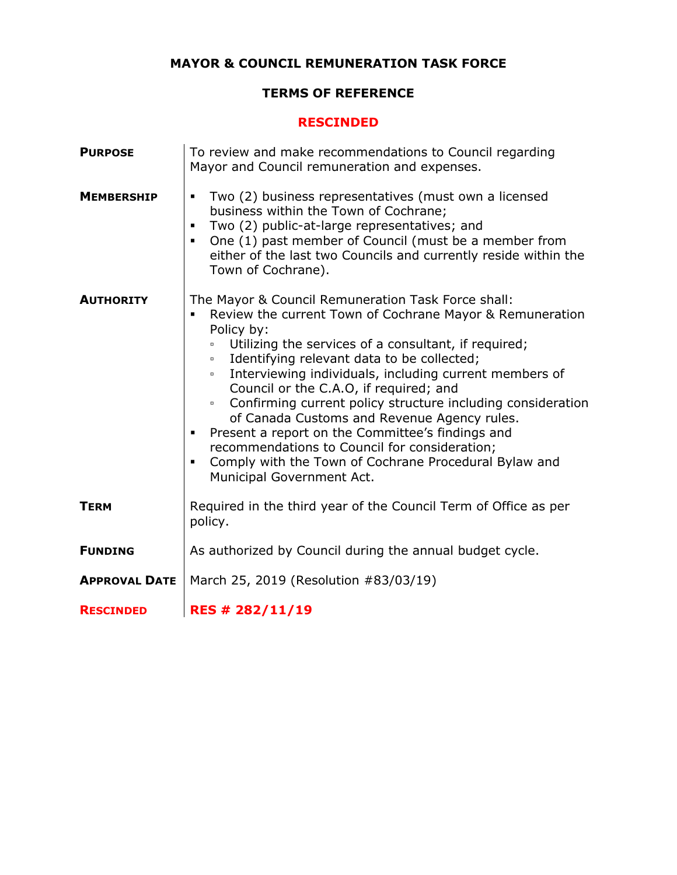# **MAYOR & COUNCIL REMUNERATION TASK FORCE**

# **TERMS OF REFERENCE**

#### **RESCINDED**

| <b>PURPOSE</b>       | To review and make recommendations to Council regarding<br>Mayor and Council remuneration and expenses.                                                                                                                                                                                                                                                                                                                                                                                                                                                                                                                                                                            |
|----------------------|------------------------------------------------------------------------------------------------------------------------------------------------------------------------------------------------------------------------------------------------------------------------------------------------------------------------------------------------------------------------------------------------------------------------------------------------------------------------------------------------------------------------------------------------------------------------------------------------------------------------------------------------------------------------------------|
| <b>MEMBERSHIP</b>    | Two (2) business representatives (must own a licensed<br>business within the Town of Cochrane;<br>Two (2) public-at-large representatives; and<br>One (1) past member of Council (must be a member from<br>either of the last two Councils and currently reside within the<br>Town of Cochrane).                                                                                                                                                                                                                                                                                                                                                                                   |
| <b>AUTHORITY</b>     | The Mayor & Council Remuneration Task Force shall:<br>Review the current Town of Cochrane Mayor & Remuneration<br>Policy by:<br>Utilizing the services of a consultant, if required;<br>$\Box$<br>Identifying relevant data to be collected;<br>$\Box$<br>Interviewing individuals, including current members of<br>$\Box$<br>Council or the C.A.O, if required; and<br>Confirming current policy structure including consideration<br>o<br>of Canada Customs and Revenue Agency rules.<br>Present a report on the Committee's findings and<br>recommendations to Council for consideration;<br>Comply with the Town of Cochrane Procedural Bylaw and<br>Municipal Government Act. |
| <b>TERM</b>          | Required in the third year of the Council Term of Office as per<br>policy.                                                                                                                                                                                                                                                                                                                                                                                                                                                                                                                                                                                                         |
| <b>FUNDING</b>       | As authorized by Council during the annual budget cycle.                                                                                                                                                                                                                                                                                                                                                                                                                                                                                                                                                                                                                           |
| <b>APPROVAL DATE</b> | March 25, 2019 (Resolution #83/03/19)                                                                                                                                                                                                                                                                                                                                                                                                                                                                                                                                                                                                                                              |
| <b>RESCINDED</b>     | RES # 282/11/19                                                                                                                                                                                                                                                                                                                                                                                                                                                                                                                                                                                                                                                                    |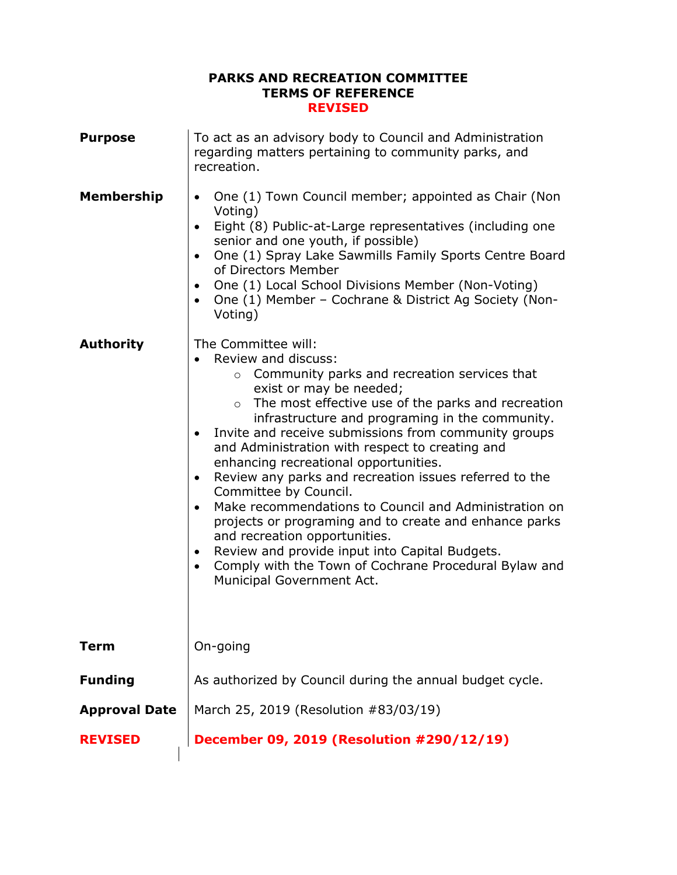### **PARKS AND RECREATION COMMITTEE TERMS OF REFERENCE REVISED**

| <b>Purpose</b>       | To act as an advisory body to Council and Administration<br>regarding matters pertaining to community parks, and<br>recreation.                                                                                                                                                                                                                                                                                                                                                                                                                                                                                                                                                                                                                                                                                                                                       |
|----------------------|-----------------------------------------------------------------------------------------------------------------------------------------------------------------------------------------------------------------------------------------------------------------------------------------------------------------------------------------------------------------------------------------------------------------------------------------------------------------------------------------------------------------------------------------------------------------------------------------------------------------------------------------------------------------------------------------------------------------------------------------------------------------------------------------------------------------------------------------------------------------------|
| <b>Membership</b>    | One (1) Town Council member; appointed as Chair (Non<br>$\bullet$<br>Voting)<br>Eight (8) Public-at-Large representatives (including one<br>$\bullet$<br>senior and one youth, if possible)<br>One (1) Spray Lake Sawmills Family Sports Centre Board<br>$\bullet$<br>of Directors Member<br>One (1) Local School Divisions Member (Non-Voting)<br>$\bullet$<br>One (1) Member - Cochrane & District Ag Society (Non-<br>$\bullet$<br>Voting)                                                                                                                                                                                                                                                                                                                                                                                                                         |
| <b>Authority</b>     | The Committee will:<br>Review and discuss:<br>$\bullet$<br>Community parks and recreation services that<br>$\circ$<br>exist or may be needed;<br>The most effective use of the parks and recreation<br>$\circ$<br>infrastructure and programing in the community.<br>Invite and receive submissions from community groups<br>$\bullet$<br>and Administration with respect to creating and<br>enhancing recreational opportunities.<br>Review any parks and recreation issues referred to the<br>$\bullet$<br>Committee by Council.<br>Make recommendations to Council and Administration on<br>$\bullet$<br>projects or programing and to create and enhance parks<br>and recreation opportunities.<br>Review and provide input into Capital Budgets.<br>$\bullet$<br>Comply with the Town of Cochrane Procedural Bylaw and<br>$\bullet$<br>Municipal Government Act. |
| <b>Term</b>          | On-going                                                                                                                                                                                                                                                                                                                                                                                                                                                                                                                                                                                                                                                                                                                                                                                                                                                              |
| <b>Funding</b>       | As authorized by Council during the annual budget cycle.                                                                                                                                                                                                                                                                                                                                                                                                                                                                                                                                                                                                                                                                                                                                                                                                              |
| <b>Approval Date</b> | March 25, 2019 (Resolution #83/03/19)                                                                                                                                                                                                                                                                                                                                                                                                                                                                                                                                                                                                                                                                                                                                                                                                                                 |
| <b>REVISED</b>       | December 09, 2019 (Resolution #290/12/19)                                                                                                                                                                                                                                                                                                                                                                                                                                                                                                                                                                                                                                                                                                                                                                                                                             |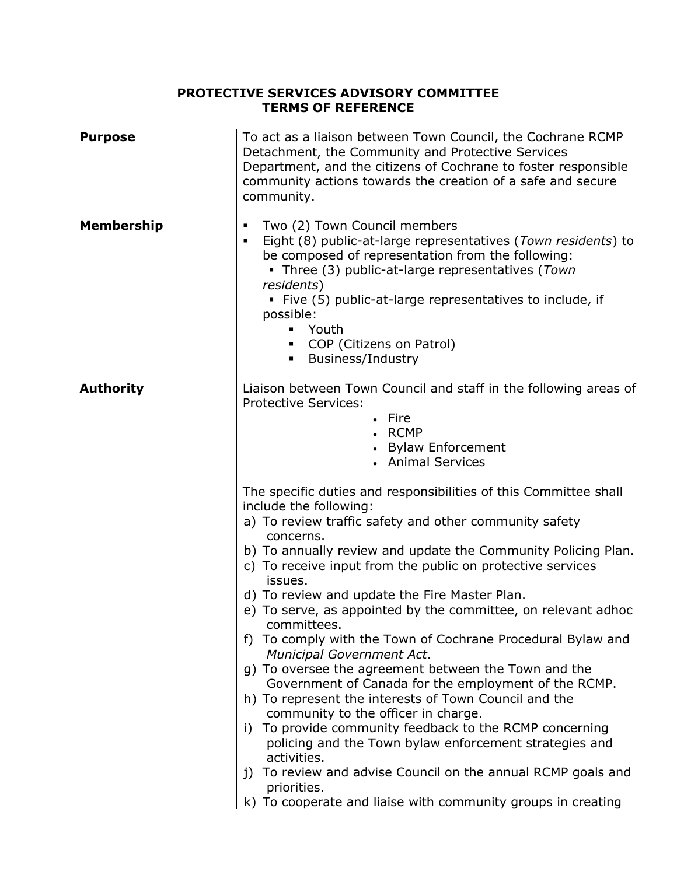# **PROTECTIVE SERVICES ADVISORY COMMITTEE TERMS OF REFERENCE**

| <b>Purpose</b>    | To act as a liaison between Town Council, the Cochrane RCMP<br>Detachment, the Community and Protective Services<br>Department, and the citizens of Cochrane to foster responsible<br>community actions towards the creation of a safe and secure<br>community.                                                                                                                                                                                                                                                                                                                                                                                                                                                                                                                                                                                                                                                                                                                                                                                |
|-------------------|------------------------------------------------------------------------------------------------------------------------------------------------------------------------------------------------------------------------------------------------------------------------------------------------------------------------------------------------------------------------------------------------------------------------------------------------------------------------------------------------------------------------------------------------------------------------------------------------------------------------------------------------------------------------------------------------------------------------------------------------------------------------------------------------------------------------------------------------------------------------------------------------------------------------------------------------------------------------------------------------------------------------------------------------|
| <b>Membership</b> | Two (2) Town Council members<br>$\blacksquare$<br>Eight (8) public-at-large representatives (Town residents) to<br>٠<br>be composed of representation from the following:<br>• Three (3) public-at-large representatives (Town<br>residents)<br>• Five (5) public-at-large representatives to include, if<br>possible:<br>Youth<br>• COP (Citizens on Patrol)<br><b>Business/Industry</b>                                                                                                                                                                                                                                                                                                                                                                                                                                                                                                                                                                                                                                                      |
| <b>Authority</b>  | Liaison between Town Council and staff in the following areas of<br><b>Protective Services:</b><br>• Fire<br>• RCMP<br>• Bylaw Enforcement<br>• Animal Services                                                                                                                                                                                                                                                                                                                                                                                                                                                                                                                                                                                                                                                                                                                                                                                                                                                                                |
|                   | The specific duties and responsibilities of this Committee shall<br>include the following:<br>a) To review traffic safety and other community safety<br>concerns.<br>b) To annually review and update the Community Policing Plan.<br>c) To receive input from the public on protective services<br>issues.<br>d) To review and update the Fire Master Plan.<br>e) To serve, as appointed by the committee, on relevant adhoc<br>committees.<br>f) To comply with the Town of Cochrane Procedural Bylaw and<br>Municipal Government Act.<br>g) To oversee the agreement between the Town and the<br>Government of Canada for the employment of the RCMP.<br>h) To represent the interests of Town Council and the<br>community to the officer in charge.<br>To provide community feedback to the RCMP concerning<br>i)<br>policing and the Town bylaw enforcement strategies and<br>activities.<br>j) To review and advise Council on the annual RCMP goals and<br>priorities.<br>k) To cooperate and liaise with community groups in creating |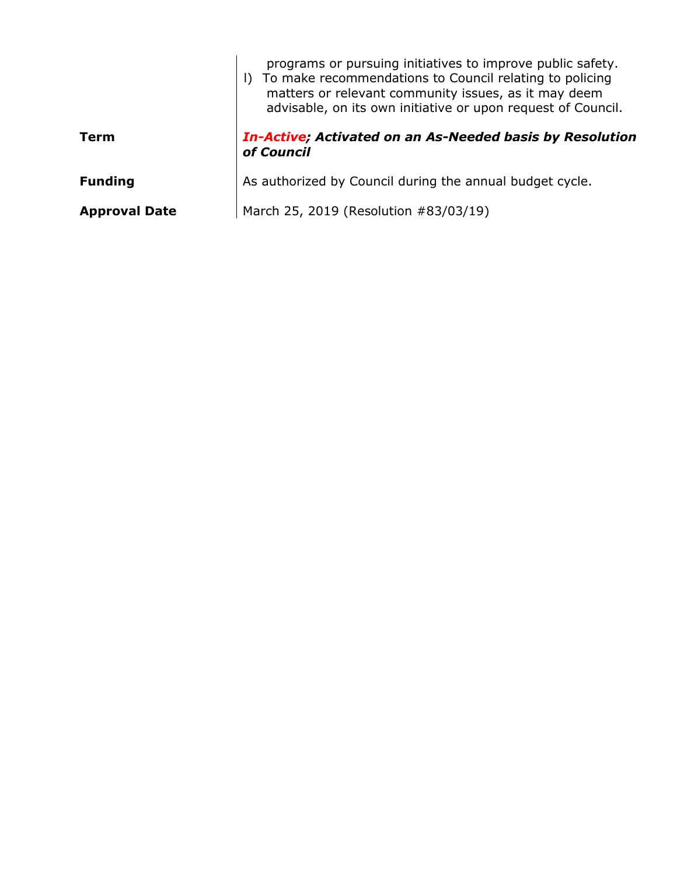|                      | programs or pursuing initiatives to improve public safety.<br>I) To make recommendations to Council relating to policing<br>matters or relevant community issues, as it may deem<br>advisable, on its own initiative or upon request of Council. |
|----------------------|--------------------------------------------------------------------------------------------------------------------------------------------------------------------------------------------------------------------------------------------------|
| Term                 | In-Active; Activated on an As-Needed basis by Resolution<br>of Council                                                                                                                                                                           |
| <b>Funding</b>       | As authorized by Council during the annual budget cycle.                                                                                                                                                                                         |
| <b>Approval Date</b> | March 25, 2019 (Resolution #83/03/19)                                                                                                                                                                                                            |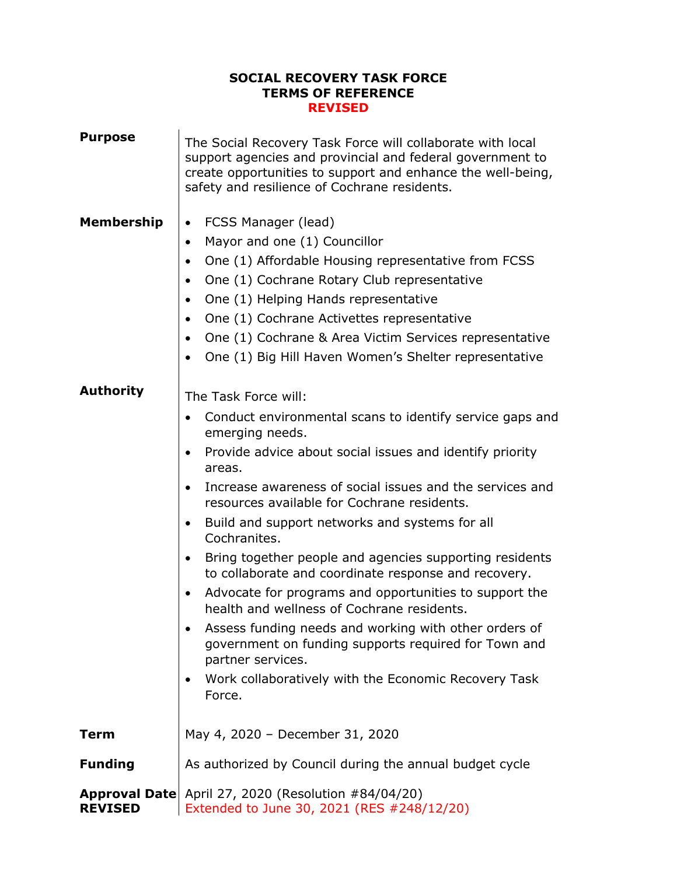### **SOCIAL RECOVERY TASK FORCE TERMS OF REFERENCE REVISED**

| <b>Purpose</b>    | The Social Recovery Task Force will collaborate with local<br>support agencies and provincial and federal government to<br>create opportunities to support and enhance the well-being,<br>safety and resilience of Cochrane residents.                                                                                                                                                                                                                                                                                                                                                                                                                                                                                                                                                                 |
|-------------------|--------------------------------------------------------------------------------------------------------------------------------------------------------------------------------------------------------------------------------------------------------------------------------------------------------------------------------------------------------------------------------------------------------------------------------------------------------------------------------------------------------------------------------------------------------------------------------------------------------------------------------------------------------------------------------------------------------------------------------------------------------------------------------------------------------|
| <b>Membership</b> | FCSS Manager (lead)<br>$\bullet$<br>Mayor and one (1) Councillor<br>$\bullet$<br>One (1) Affordable Housing representative from FCSS<br>$\bullet$<br>One (1) Cochrane Rotary Club representative<br>$\bullet$<br>One (1) Helping Hands representative<br>$\bullet$<br>One (1) Cochrane Activettes representative<br>$\bullet$<br>One (1) Cochrane & Area Victim Services representative<br>One (1) Big Hill Haven Women's Shelter representative                                                                                                                                                                                                                                                                                                                                                       |
| <b>Authority</b>  | The Task Force will:<br>Conduct environmental scans to identify service gaps and<br>emerging needs.<br>Provide advice about social issues and identify priority<br>areas.<br>Increase awareness of social issues and the services and<br>resources available for Cochrane residents.<br>Build and support networks and systems for all<br>Cochranites.<br>Bring together people and agencies supporting residents<br>to collaborate and coordinate response and recovery.<br>Advocate for programs and opportunities to support the<br>$\bullet$<br>health and wellness of Cochrane residents.<br>Assess funding needs and working with other orders of<br>government on funding supports required for Town and<br>partner services.<br>Work collaboratively with the Economic Recovery Task<br>Force. |
| <b>Term</b>       | May 4, 2020 - December 31, 2020                                                                                                                                                                                                                                                                                                                                                                                                                                                                                                                                                                                                                                                                                                                                                                        |
| <b>Funding</b>    | As authorized by Council during the annual budget cycle                                                                                                                                                                                                                                                                                                                                                                                                                                                                                                                                                                                                                                                                                                                                                |
| <b>REVISED</b>    | <b>Approval Date</b> April 27, 2020 (Resolution #84/04/20)<br>Extended to June 30, 2021 (RES #248/12/20)                                                                                                                                                                                                                                                                                                                                                                                                                                                                                                                                                                                                                                                                                               |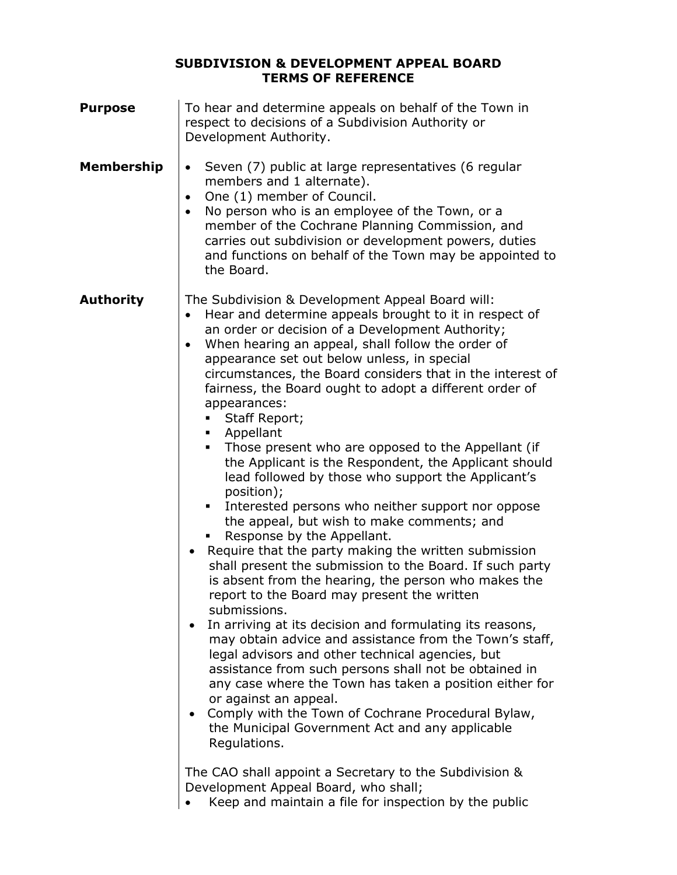# **SUBDIVISION & DEVELOPMENT APPEAL BOARD TERMS OF REFERENCE**

| <b>Purpose</b>    | To hear and determine appeals on behalf of the Town in<br>respect to decisions of a Subdivision Authority or<br>Development Authority.                                                                                                                                                                                                                                                                                                                                                                                                                                                                                                                                                                                                                                                                                                                                                                                                                                                                                                                                                                                                                                                                                                                                                                                                                                                                                                                                                                                                                                                                                                                     |
|-------------------|------------------------------------------------------------------------------------------------------------------------------------------------------------------------------------------------------------------------------------------------------------------------------------------------------------------------------------------------------------------------------------------------------------------------------------------------------------------------------------------------------------------------------------------------------------------------------------------------------------------------------------------------------------------------------------------------------------------------------------------------------------------------------------------------------------------------------------------------------------------------------------------------------------------------------------------------------------------------------------------------------------------------------------------------------------------------------------------------------------------------------------------------------------------------------------------------------------------------------------------------------------------------------------------------------------------------------------------------------------------------------------------------------------------------------------------------------------------------------------------------------------------------------------------------------------------------------------------------------------------------------------------------------------|
| <b>Membership</b> | Seven (7) public at large representatives (6 regular<br>$\bullet$<br>members and 1 alternate).<br>One (1) member of Council.<br>$\bullet$<br>No person who is an employee of the Town, or a<br>$\bullet$<br>member of the Cochrane Planning Commission, and<br>carries out subdivision or development powers, duties<br>and functions on behalf of the Town may be appointed to<br>the Board.                                                                                                                                                                                                                                                                                                                                                                                                                                                                                                                                                                                                                                                                                                                                                                                                                                                                                                                                                                                                                                                                                                                                                                                                                                                              |
| <b>Authority</b>  | The Subdivision & Development Appeal Board will:<br>Hear and determine appeals brought to it in respect of<br>an order or decision of a Development Authority;<br>When hearing an appeal, shall follow the order of<br>$\bullet$<br>appearance set out below unless, in special<br>circumstances, the Board considers that in the interest of<br>fairness, the Board ought to adopt a different order of<br>appearances:<br>Staff Report;<br>٠<br>• Appellant<br>Those present who are opposed to the Appellant (if<br>the Applicant is the Respondent, the Applicant should<br>lead followed by those who support the Applicant's<br>position);<br>Interested persons who neither support nor oppose<br>$\blacksquare$<br>the appeal, but wish to make comments; and<br>Response by the Appellant.<br>Require that the party making the written submission<br>shall present the submission to the Board. If such party<br>is absent from the hearing, the person who makes the<br>report to the Board may present the written<br>submissions.<br>In arriving at its decision and formulating its reasons,<br>may obtain advice and assistance from the Town's staff,<br>legal advisors and other technical agencies, but<br>assistance from such persons shall not be obtained in<br>any case where the Town has taken a position either for<br>or against an appeal.<br>Comply with the Town of Cochrane Procedural Bylaw,<br>the Municipal Government Act and any applicable<br>Regulations.<br>The CAO shall appoint a Secretary to the Subdivision &<br>Development Appeal Board, who shall;<br>Keep and maintain a file for inspection by the public |